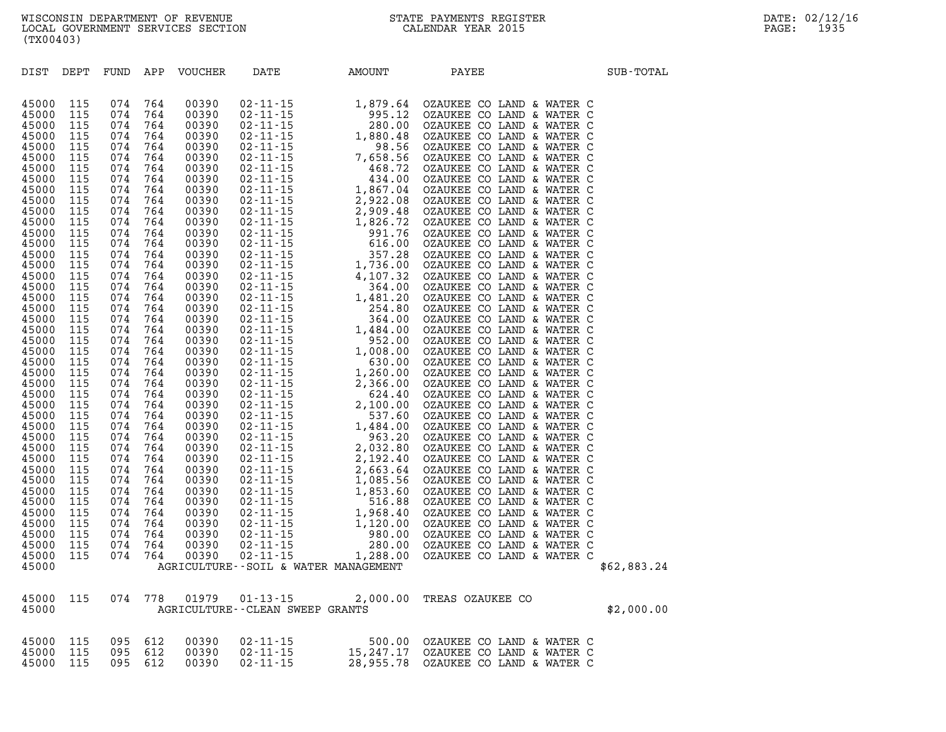| <b>DIST</b>    | DEPT |                                                                                                                                                                                                                                                                                                    |     | FUND APP VOUCHER | DATE AMOUNT                                                        | PAYEE                                                                                                                                                                                                                        | SUB-TOTAL   |
|----------------|------|----------------------------------------------------------------------------------------------------------------------------------------------------------------------------------------------------------------------------------------------------------------------------------------------------|-----|------------------|--------------------------------------------------------------------|------------------------------------------------------------------------------------------------------------------------------------------------------------------------------------------------------------------------------|-------------|
|                |      |                                                                                                                                                                                                                                                                                                    |     |                  |                                                                    |                                                                                                                                                                                                                              |             |
|                |      |                                                                                                                                                                                                                                                                                                    |     |                  |                                                                    |                                                                                                                                                                                                                              |             |
| 45000<br>45000 | 115  | 074                                                                                                                                                                                                                                                                                                | 764 |                  |                                                                    |                                                                                                                                                                                                                              |             |
| 45000          |      | $\begin{array}{cccc} 115 & 0/4 & 764 \\ 115 & 074 & 764 \\ 115 & 074 & 764 \\ 115 & 074 & 764 \\ 115 & 074 & 764 \\ 115 & 074 & 764 \\ 115 & 074 & 764 \\ 115 & 074 & 764 \end{array}$                                                                                                             |     |                  |                                                                    |                                                                                                                                                                                                                              |             |
| 45000          |      |                                                                                                                                                                                                                                                                                                    |     |                  |                                                                    |                                                                                                                                                                                                                              |             |
| 45000          |      |                                                                                                                                                                                                                                                                                                    |     |                  |                                                                    |                                                                                                                                                                                                                              |             |
| 45000          |      |                                                                                                                                                                                                                                                                                                    |     |                  |                                                                    |                                                                                                                                                                                                                              |             |
| 45000          |      |                                                                                                                                                                                                                                                                                                    |     |                  |                                                                    |                                                                                                                                                                                                                              |             |
| 45000          |      |                                                                                                                                                                                                                                                                                                    |     |                  |                                                                    |                                                                                                                                                                                                                              |             |
| 45000          | 115  | 074                                                                                                                                                                                                                                                                                                | 764 |                  |                                                                    |                                                                                                                                                                                                                              |             |
| 45000          |      |                                                                                                                                                                                                                                                                                                    |     |                  |                                                                    |                                                                                                                                                                                                                              |             |
| 45000          |      |                                                                                                                                                                                                                                                                                                    |     |                  |                                                                    |                                                                                                                                                                                                                              |             |
| 45000          |      |                                                                                                                                                                                                                                                                                                    |     |                  |                                                                    |                                                                                                                                                                                                                              |             |
| 45000          |      |                                                                                                                                                                                                                                                                                                    |     |                  |                                                                    |                                                                                                                                                                                                                              |             |
| 45000          |      |                                                                                                                                                                                                                                                                                                    |     |                  |                                                                    |                                                                                                                                                                                                                              |             |
| 45000          |      |                                                                                                                                                                                                                                                                                                    |     |                  |                                                                    |                                                                                                                                                                                                                              |             |
| 45000          |      |                                                                                                                                                                                                                                                                                                    |     |                  |                                                                    |                                                                                                                                                                                                                              |             |
| 45000          |      |                                                                                                                                                                                                                                                                                                    |     |                  |                                                                    |                                                                                                                                                                                                                              |             |
| 45000          |      |                                                                                                                                                                                                                                                                                                    |     |                  |                                                                    |                                                                                                                                                                                                                              |             |
| 45000          |      |                                                                                                                                                                                                                                                                                                    |     |                  |                                                                    |                                                                                                                                                                                                                              |             |
| 45000          |      |                                                                                                                                                                                                                                                                                                    |     |                  |                                                                    |                                                                                                                                                                                                                              |             |
| 45000          |      |                                                                                                                                                                                                                                                                                                    |     |                  |                                                                    |                                                                                                                                                                                                                              |             |
| 45000          |      |                                                                                                                                                                                                                                                                                                    |     |                  |                                                                    |                                                                                                                                                                                                                              |             |
| 45000          |      |                                                                                                                                                                                                                                                                                                    |     |                  |                                                                    |                                                                                                                                                                                                                              |             |
| 45000          |      | $\begin{array}{cccc} 115 & 074 & 764 \\ 115 & 074 & 764 \\ 115 & 074 & 764 \\ 115 & 074 & 764 \\ 115 & 074 & 764 \\ 115 & 074 & 764 \\ 115 & 074 & 764 \\ 115 & 074 & 764 \\ 115 & 074 & 764 \\ 115 & 074 & 764 \\ 115 & 074 & 764 \\ 115 & 074 & 764 \\ 115 & 074 & 764 \\ 115 & 074 & 764 \\ 11$ |     |                  |                                                                    |                                                                                                                                                                                                                              |             |
| 45000          |      | $\begin{array}{cccc} 115 & 074 & 764 \\ 115 & 074 & 764 \\ 115 & 074 & 764 \\ 115 & 074 & 764 \\ 115 & 074 & 764 \\ 115 & 074 & 764 \\ 115 & 074 & 764 \\ 115 & 074 & 764 \\ 115 & 074 & 764 \\ 115 & 074 & 764 \\ 115 & 074 & 764 \\ 115 & 074 & 764 \\ 115 & 074 & 764 \\ 115 & 074 & 764 \\ 11$ |     |                  |                                                                    |                                                                                                                                                                                                                              |             |
| 45000          |      |                                                                                                                                                                                                                                                                                                    |     |                  |                                                                    |                                                                                                                                                                                                                              |             |
| 45000          |      |                                                                                                                                                                                                                                                                                                    |     |                  |                                                                    |                                                                                                                                                                                                                              |             |
| 45000          |      |                                                                                                                                                                                                                                                                                                    |     |                  |                                                                    |                                                                                                                                                                                                                              |             |
| 45000          |      |                                                                                                                                                                                                                                                                                                    |     |                  |                                                                    |                                                                                                                                                                                                                              |             |
| 45000          |      |                                                                                                                                                                                                                                                                                                    |     |                  |                                                                    |                                                                                                                                                                                                                              |             |
| 45000          |      |                                                                                                                                                                                                                                                                                                    |     |                  |                                                                    |                                                                                                                                                                                                                              |             |
| 45000          |      |                                                                                                                                                                                                                                                                                                    |     |                  |                                                                    |                                                                                                                                                                                                                              |             |
| 45000          |      |                                                                                                                                                                                                                                                                                                    |     |                  |                                                                    |                                                                                                                                                                                                                              |             |
| 45000          |      |                                                                                                                                                                                                                                                                                                    |     |                  |                                                                    |                                                                                                                                                                                                                              |             |
| 45000          |      |                                                                                                                                                                                                                                                                                                    |     |                  |                                                                    |                                                                                                                                                                                                                              |             |
| 45000          |      |                                                                                                                                                                                                                                                                                                    |     |                  |                                                                    |                                                                                                                                                                                                                              |             |
| 45000          |      |                                                                                                                                                                                                                                                                                                    |     |                  |                                                                    |                                                                                                                                                                                                                              |             |
| 45000          |      | $115$ $074$                                                                                                                                                                                                                                                                                        | 764 |                  |                                                                    |                                                                                                                                                                                                                              |             |
| 45000          | 115  | 074                                                                                                                                                                                                                                                                                                | 764 | 00390            |                                                                    |                                                                                                                                                                                                                              |             |
| 45000          |      |                                                                                                                                                                                                                                                                                                    |     | 00390            |                                                                    |                                                                                                                                                                                                                              |             |
| 45000          |      |                                                                                                                                                                                                                                                                                                    |     | 00390            |                                                                    |                                                                                                                                                                                                                              |             |
| 45000          |      |                                                                                                                                                                                                                                                                                                    |     |                  |                                                                    |                                                                                                                                                                                                                              |             |
| 45000          |      | $\begin{array}{cccccc}\n115 & 074 & 764 \\ 115 & 074 & 764 \\ 115 & 074 & 764 \\ 115 & 074 & 764 \\ 115 & 074 & 764\n\end{array}$                                                                                                                                                                  |     |                  |                                                                    |                                                                                                                                                                                                                              |             |
| 45000          |      |                                                                                                                                                                                                                                                                                                    |     |                  | 115 074 764 00350 02-11 13<br>AGRICULTURE--SOIL & WATER MANAGEMENT | VOUCHER DATE AMOUNT PAYEE COLLAID & WATER COLLAID (1939) 02-11-15 1,979,64 CALINEE COLLAID & WATER COLLAID (1939) 02-11-15 1,980,56 CALINEE COLLAID & WATER COLLAID (1939) 02-11-15 1,980,56 CALINEE COLLAID & WATER COLLAID | \$62,883.24 |
|                |      |                                                                                                                                                                                                                                                                                                    |     |                  |                                                                    |                                                                                                                                                                                                                              |             |
| 45000          |      |                                                                                                                                                                                                                                                                                                    |     |                  |                                                                    | $\begin{tabular}{lllll} 115 & 074 & 778 & 01979 & 01-13-15 & 2,000.00 & \texttt{TREAS OZAUKEE CO} \\ & \multicolumn{2}{l}{AGRICULTURE--CLEAN SWEEP GRANTS} \end{tabular}$                                                    |             |
| 45000          |      |                                                                                                                                                                                                                                                                                                    |     |                  |                                                                    |                                                                                                                                                                                                                              | \$2,000.00  |

|  |  | 45000 115 095 612 00390 | 02-11-15       |                                     | 500.00 OZAUKEE CO LAND & WATER C |  |  |  |
|--|--|-------------------------|----------------|-------------------------------------|----------------------------------|--|--|--|
|  |  | 45000 115 095 612 00390 | 02-11-15       | 15,247.17 OZAUKEE CO LAND & WATER C |                                  |  |  |  |
|  |  | 45000 115 095 612 00390 | $02 - 11 - 15$ | 28,955.78 OZAUKEE CO LAND & WATER C |                                  |  |  |  |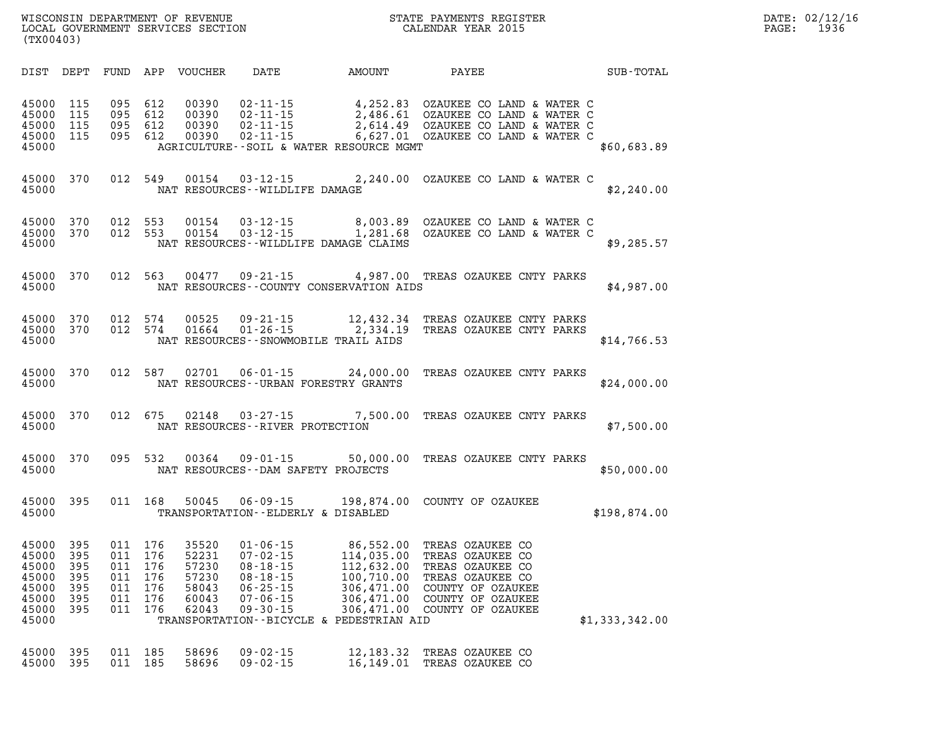| $\mathtt{DATE}$ : | 02/12/16 |
|-------------------|----------|
| $\mathtt{PAGE}$ : | 1936     |

| (TX00403)                                                                                                             |                                               |                                                                                                              |                                                                                                                            |                                                                                                                                           |                                                                                                                                             |                |
|-----------------------------------------------------------------------------------------------------------------------|-----------------------------------------------|--------------------------------------------------------------------------------------------------------------|----------------------------------------------------------------------------------------------------------------------------|-------------------------------------------------------------------------------------------------------------------------------------------|---------------------------------------------------------------------------------------------------------------------------------------------|----------------|
| DIST<br>DEPT                                                                                                          | FUND                                          | APP<br><b>VOUCHER</b>                                                                                        | DATE                                                                                                                       | AMOUNT                                                                                                                                    | PAYEE                                                                                                                                       | SUB-TOTAL      |
| 45000<br>115<br>45000<br>115<br>45000<br>115<br>45000<br>115<br>45000                                                 | 095<br>095<br>095<br>095                      | 612<br>00390<br>00390<br>612<br>612<br>00390<br>612<br>00390                                                 | $02 - 11 - 15$<br>$02 - 11 - 15$<br>$02 - 11 - 15$<br>$02 - 11 - 15$                                                       | 4,252.83<br>2,486.61<br>2,614.49<br>6,627.01<br>AGRICULTURE--SOIL & WATER RESOURCE MGMT                                                   | OZAUKEE CO LAND & WATER C<br>OZAUKEE CO LAND & WATER C<br>OZAUKEE CO LAND & WATER C<br>OZAUKEE CO LAND & WATER C                            | \$60,683.89    |
| 370<br>45000<br>45000                                                                                                 | 012                                           | 549<br>00154                                                                                                 | $03 - 12 - 15$<br>NAT RESOURCES--WILDLIFE DAMAGE                                                                           | 2,240.00                                                                                                                                  | OZAUKEE CO LAND & WATER C                                                                                                                   | \$2,240.00     |
| 45000<br>370<br>45000<br>370<br>45000                                                                                 | 012<br>012                                    | 553<br>00154<br>553<br>00154                                                                                 | $03 - 12 - 15$<br>$03 - 12 - 15$                                                                                           | 8,003.89<br>1,281.68<br>NAT RESOURCES - - WILDLIFE DAMAGE CLAIMS                                                                          | OZAUKEE CO LAND & WATER C<br>OZAUKEE CO LAND & WATER C                                                                                      | \$9,285.57     |
| 45000<br>370<br>45000                                                                                                 | 012                                           | 563<br>00477                                                                                                 | $09 - 21 - 15$                                                                                                             | 4,987.00<br>NAT RESOURCES - COUNTY CONSERVATION AIDS                                                                                      | TREAS OZAUKEE CNTY PARKS                                                                                                                    | \$4,987.00     |
| 45000<br>370<br>45000<br>370<br>45000                                                                                 | 012<br>012                                    | 00525<br>574<br>574<br>01664                                                                                 | $09 - 21 - 15$<br>$01 - 26 - 15$                                                                                           | 12,432.34<br>2,334.19<br>NAT RESOURCES - - SNOWMOBILE TRAIL AIDS                                                                          | TREAS OZAUKEE CNTY PARKS<br>TREAS OZAUKEE CNTY PARKS                                                                                        | \$14,766.53    |
| 45000<br>370<br>45000                                                                                                 | 012                                           | 587<br>02701                                                                                                 | $06 - 01 - 15$                                                                                                             | 24,000.00<br>NAT RESOURCES--URBAN FORESTRY GRANTS                                                                                         | TREAS OZAUKEE CNTY PARKS                                                                                                                    | \$24,000.00    |
| 45000<br>370<br>45000                                                                                                 | 012                                           | 675<br>02148                                                                                                 | $03 - 27 - 15$<br>NAT RESOURCES - - RIVER PROTECTION                                                                       | 7,500.00                                                                                                                                  | TREAS OZAUKEE CNTY PARKS                                                                                                                    | \$7,500.00     |
| 45000<br>370<br>45000                                                                                                 | 095                                           | 532<br>00364                                                                                                 | $09 - 01 - 15$                                                                                                             | 50,000.00<br>NAT RESOURCES - - DAM SAFETY PROJECTS                                                                                        | TREAS OZAUKEE CNTY PARKS                                                                                                                    | \$50,000.00    |
| 45000<br>395<br>45000                                                                                                 | 011                                           | 168<br>50045                                                                                                 | $06 - 09 - 15$                                                                                                             | 198,874.00<br>TRANSPORTATION--ELDERLY & DISABLED                                                                                          | COUNTY OF OZAUKEE                                                                                                                           | \$198,874.00   |
| 45000<br>395<br>395<br>45000<br>45000<br>395<br>45000<br>395<br>45000<br>395<br>45000<br>395<br>45000<br>395<br>45000 | 011<br>011<br>011<br>011<br>011<br>011<br>011 | 176<br>35520<br>52231<br>176<br>176<br>57230<br>57230<br>176<br>176<br>58043<br>60043<br>176<br>176<br>62043 | $01 - 06 - 15$<br>$07 - 02 - 15$<br>$08 - 18 - 15$<br>$08 - 18 - 15$<br>$06 - 25 - 15$<br>$07 - 06 - 15$<br>$09 - 30 - 15$ | 86,552.00<br>114,035.00<br>112,632.00<br>100,710.00<br>306,471.00<br>306,471.00<br>306,471.00<br>TRANSPORTATION--BICYCLE & PEDESTRIAN AID | TREAS OZAUKEE CO<br>TREAS OZAUKEE CO<br>TREAS OZAUKEE CO<br>TREAS OZAUKEE CO<br>COUNTY OF OZAUKEE<br>COUNTY OF OZAUKEE<br>COUNTY OF OZAUKEE | \$1,333,342.00 |
| 45000<br>395                                                                                                          | 011                                           | 185<br>58696                                                                                                 | $09 - 02 - 15$                                                                                                             | 12,183.32                                                                                                                                 | TREAS OZAUKEE CO                                                                                                                            |                |

**45000 395 011 185 58696 09-02-15 16,149.01 TREAS OZAUKEE CO** 

WISCONSIN DEPARTMENT OF REVENUE STATE STATE PAYMENTS REGISTER LOCAL GOVERNMENT SERVICES SECTION

LOCAL GOVERNMENT SERVICES SECTION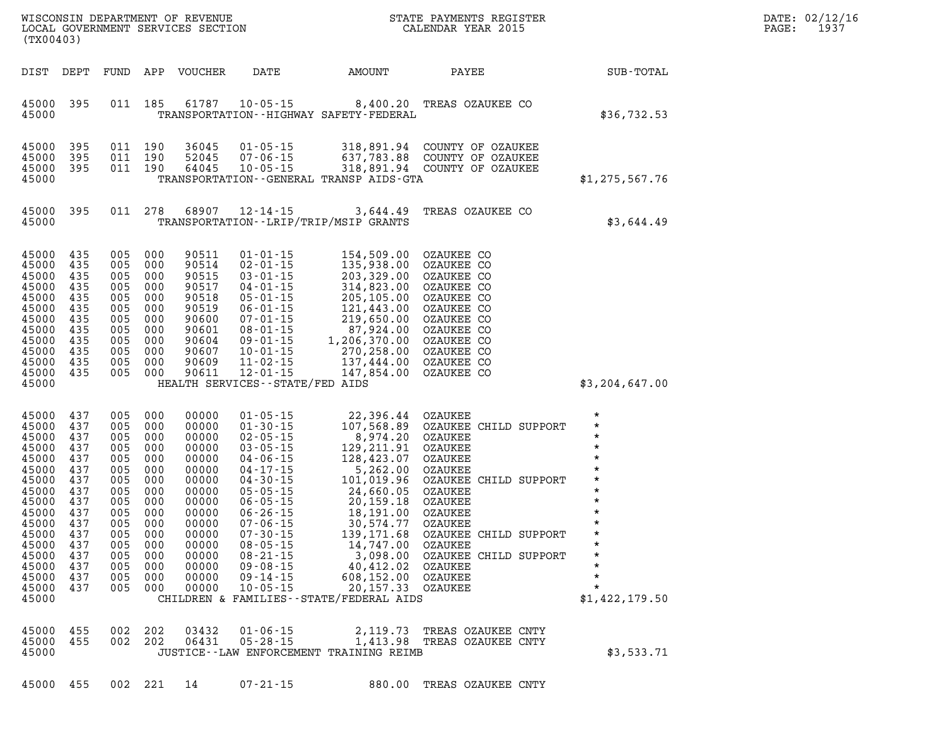| (TX00403)                                                                                                                                                                          |                                                                                  |                                                                                                                           |                                                                                          |                                                                                                                                                       | WISCONSIN DEPARTMENT OF REVENUE<br>LOCAL GOVERNMENT SERVICES SECTION<br>(THEOLOGY SERVICES SECTION                                                                                                                                                                                                 |                                                                                                                                                                                                                                                                                            | STATE PAYMENTS REGISTER<br>CALENDAR YEAR 2015                                                                                                                                                                |                                                                                                                                                                           | DATE: 02/12/16<br>$\mathtt{PAGE}$ :<br>1937 |
|------------------------------------------------------------------------------------------------------------------------------------------------------------------------------------|----------------------------------------------------------------------------------|---------------------------------------------------------------------------------------------------------------------------|------------------------------------------------------------------------------------------|-------------------------------------------------------------------------------------------------------------------------------------------------------|----------------------------------------------------------------------------------------------------------------------------------------------------------------------------------------------------------------------------------------------------------------------------------------------------|--------------------------------------------------------------------------------------------------------------------------------------------------------------------------------------------------------------------------------------------------------------------------------------------|--------------------------------------------------------------------------------------------------------------------------------------------------------------------------------------------------------------|---------------------------------------------------------------------------------------------------------------------------------------------------------------------------|---------------------------------------------|
| DIST DEPT                                                                                                                                                                          |                                                                                  |                                                                                                                           |                                                                                          | FUND APP VOUCHER                                                                                                                                      | DATE                                                                                                                                                                                                                                                                                               | AMOUNT                                                                                                                                                                                                                                                                                     | PAYEE                                                                                                                                                                                                        | SUB-TOTAL                                                                                                                                                                 |                                             |
| 45000 395<br>45000                                                                                                                                                                 |                                                                                  |                                                                                                                           | 011 185                                                                                  |                                                                                                                                                       |                                                                                                                                                                                                                                                                                                    | TRANSPORTATION - - HIGHWAY SAFETY - FEDERAL                                                                                                                                                                                                                                                | 61787  10-05-15  8,400.20  TREAS OZAUKEE CO                                                                                                                                                                  | \$36,732.53                                                                                                                                                               |                                             |
| 45000<br>45000<br>45000 395<br>45000                                                                                                                                               | 395<br>395                                                                       | 011 190<br>011 190<br>011 190                                                                                             |                                                                                          | 36045<br>52045<br>64045                                                                                                                               | 07-06-15<br>$10 - 05 - 15$                                                                                                                                                                                                                                                                         | TRANSPORTATION - - GENERAL TRANSP AIDS - GTA                                                                                                                                                                                                                                               | 01-05-15 318,891.94 COUNTY OF OZAUKEE<br>07-06-15 637,783.88 COUNTY OF OZAUKEE<br>10-05-15 318,891.94 COUNTY OF OZAUKEE                                                                                      | \$1,275,567.76                                                                                                                                                            |                                             |
| 45000 395<br>45000                                                                                                                                                                 |                                                                                  |                                                                                                                           | 011 278                                                                                  |                                                                                                                                                       | 68907 12-14-15                                                                                                                                                                                                                                                                                     | TRANSPORTATION - - LRIP/TRIP/MSIP GRANTS                                                                                                                                                                                                                                                   | 3,644.49 TREAS OZAUKEE CO                                                                                                                                                                                    | \$3,644.49                                                                                                                                                                |                                             |
| 45000<br>45000<br>45000<br>45000<br>45000<br>45000<br>45000<br>45000<br>45000<br>45000<br>45000<br>45000 435<br>45000                                                              | 435<br>435<br>435<br>435<br>435<br>435<br>435<br>435<br>435<br>435<br>435        | 005 000<br>005 000<br>005 000<br>005 000<br>005<br>005 000<br>005 000<br>005 000<br>005<br>005 000<br>005 000             | 000<br>000<br>005 000                                                                    | 90511<br>90514<br>90515<br>90517<br>90518<br>90519<br>90600<br>90601<br>90604<br>90607<br>90609<br>90611                                              | $01 - 01 - 15$<br>$02 - 01 - 15$<br>$03 - 01 - 15$<br>$04 - 01 - 15$<br>$05 - 01 - 15$<br>$06 - 01 - 15$<br>$07 - 01 - 15$<br>$08 - 01 - 15$<br>$09 - 01 - 15$<br>$10 - 01 - 15$<br>11-02-15<br>$12 - 01 - 15$<br>HEALTH SERVICES--STATE/FED AIDS                                                  | 154,509.00<br>135,938.00<br>$135,938.00$<br>$203,329.00$<br>$314,823.00$<br>$205,105.00$<br>$121,443.00$<br>$219,650.00$<br>$87,924.00$<br>$1,206,370.00$<br>$147,854.00$<br>$137,444.000$<br>$137,444.000$                                                                                | OZAUKEE CO<br>OZAUKEE CO<br>OZAUKEE CO<br>OZAUKEE CO<br>OZAUKEE CO<br>OZAUKEE CO<br>OZAUKEE CO<br>OZAUKEE CO<br>OZAUKEE CO<br>OZAUKEE CO<br>OZAUKEE CO<br>OZAUKEE CO                                         | \$3,204,647.00                                                                                                                                                            |                                             |
| 45000<br>45000<br>45000<br>45000<br>45000<br>45000<br>45000<br>45000<br>45000<br>45000<br>45000<br>45000<br>45000 437<br>45000 437<br>45000 437<br>45000 437<br>45000 437<br>45000 | 437<br>437<br>437<br>437<br>437<br>437<br>437<br>437<br>437<br>437<br>437<br>437 | 005<br>005 000<br>005 000<br>005<br>005<br>005<br>005<br>005<br>005 000<br>005<br>005<br>005<br>005 000<br>005<br>005 000 | 000<br>000<br>000<br>000<br>000<br>000<br>000<br>000<br>000<br>000<br>005 000<br>005 000 | 00000<br>00000<br>00000<br>00000<br>00000<br>00000<br>00000<br>00000<br>00000<br>00000<br>00000<br>00000<br>00000<br>00000<br>00000<br>00000<br>00000 | $01 - 05 - 15$<br>$01 - 30 - 15$<br>$02 - 05 - 15$<br>$03 - 05 - 15$<br>$04 - 06 - 15$<br>$04 - 17 - 15$<br>$04 - 30 - 15$<br>$05 - 05 - 15$<br>$06 - 05 - 15$<br>$06 - 26 - 15$<br>$07 - 06 - 15$<br>$07 - 30 - 15$<br>$08 - 05 - 15$<br>08-21-15<br>09-08-15<br>$09 - 14 - 15$<br>$10 - 05 - 15$ | $22,396.44$<br>$107,568.89$<br>$8,974.20$<br>$129,211.91$<br>$128,423.07$<br>$5,262.00$<br>$101,019.96$<br>$24,660.05$<br>$20,159.18$<br>$18,191.00$<br>$39,574.77$<br>$139,171.68$<br>$14,747.00$<br>14,747.00 OZAUKEE<br>40,412.02 OZAUKEE<br>CHILDREN & FAMILIES - - STATE/FEDERAL AIDS | OZAUKEE<br>OZAUKEE CHILD SUPPORT<br>OZAUKEE<br>OZAUKEE<br>OZAUKEE<br>OZAUKEE<br>OZAUKEE CHILD SUPPORT<br>OZAUKEE<br>OZAUKEE<br>OZAUKEE<br>OZAUKEE<br>OZAUKEE CHILD SUPPORT<br>3,098.00 OZAUKEE CHILD SUPPORT | $\star$<br>$^\star$<br>$\star$<br>$\star$<br>$\star$<br>$\star$<br>$\star$<br>$\star$<br>$\star$<br>$\star$<br>$\star$<br>$\star$<br>$\star$<br>$\star$<br>\$1,422,179.50 |                                             |
| 45000 455<br>45000 455<br>45000                                                                                                                                                    |                                                                                  |                                                                                                                           | 002 202<br>002 202                                                                       | 03432<br>06431                                                                                                                                        | $01 - 06 - 15$<br>$05 - 28 - 15$                                                                                                                                                                                                                                                                   | JUSTICE--LAW ENFORCEMENT TRAINING REIMB                                                                                                                                                                                                                                                    | 2,119.73 TREAS OZAUKEE CNTY<br>1,413.98 TREAS OZAUKEE CNTY                                                                                                                                                   | \$3,533.71                                                                                                                                                                |                                             |
| 45000 455                                                                                                                                                                          |                                                                                  |                                                                                                                           | 002 221 14                                                                               |                                                                                                                                                       | $07 - 21 - 15$                                                                                                                                                                                                                                                                                     |                                                                                                                                                                                                                                                                                            | 880.00 TREAS OZAUKEE CNTY                                                                                                                                                                                    |                                                                                                                                                                           |                                             |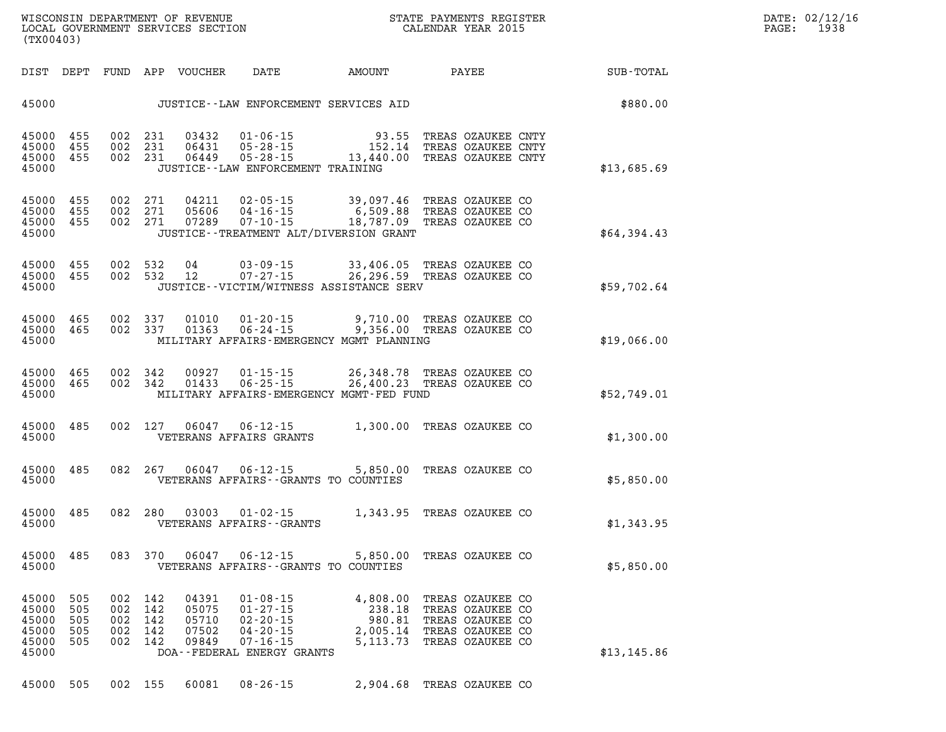| (TX00403)                                                                                                                | LOCAL GOVERNMENT SERVICES SECTION                                                                                                                                                                    | CALENDAR YEAR 2015                                                                                                                                         |             | 1938<br>PAGE: |
|--------------------------------------------------------------------------------------------------------------------------|------------------------------------------------------------------------------------------------------------------------------------------------------------------------------------------------------|------------------------------------------------------------------------------------------------------------------------------------------------------------|-------------|---------------|
|                                                                                                                          | DIST DEPT FUND APP VOUCHER DATE AMOUNT PAYEE TOTAL                                                                                                                                                   |                                                                                                                                                            |             |               |
|                                                                                                                          | JUSTICE -- LAW ENFORCEMENT SERVICES AID                                                                                                                                                              |                                                                                                                                                            | \$880.00    |               |
| 45000 455<br>45000<br>455<br>45000 455<br>45000                                                                          | 002 231<br>002 231<br>002 231<br>JUSTICE - - LAW ENFORCEMENT TRAINING                                                                                                                                | 03432  01-06-15  93.55  TREAS OZAUKEE CNTY<br>06431  05-28-15  152.14  TREAS OZAUKEE CNTY<br>06449  05-28-15  13,440.00  TREAS OZAUKEE CNTY                | \$13,685.69 |               |
| 45000 455<br>002 271<br>455<br>45000<br>45000 455<br>45000                                                               | 002 271<br>002 271<br>JUSTICE - - TREATMENT ALT/DIVERSION GRANT                                                                                                                                      | 04211  02-05-15  39,097.46  TREAS OZAUKEE CO<br>05606  04-16-15  6,509.88 TREAS OZAUKEE CO<br>07289  07-10-15  18,787.09 TREAS OZAUKEE CO                  | \$64,394.43 |               |
| 45000 455 002 532 04<br>45000 455<br>45000                                                                               | 002 532 12<br>JUSTICE -- VICTIM/WITNESS ASSISTANCE SERV                                                                                                                                              | 03-09-15 33,406.05 TREAS OZAUKEE CO<br>07-27-15 26,296.59 TREAS OZAUKEE CO                                                                                 | \$59,702.64 |               |
| 45000 465<br>002 337<br>45000 465<br>002 337<br>45000                                                                    | MILITARY AFFAIRS-EMERGENCY MGMT PLANNING                                                                                                                                                             | 01010  01-20-15  9,710.00 TREAS OZAUKEE CO<br>01363  06-24-15  9,356.00 TREAS OZAUKEE CO                                                                   | \$19,066.00 |               |
| 45000 465 002 342<br>45000 465 002 342<br>45000                                                                          | MILITARY AFFAIRS-EMERGENCY MGMT-FED FUND                                                                                                                                                             | 00927  01-15-15  26,348.78  TREAS OZAUKEE CO<br>01433  06-25-15  26,400.23  TREAS OZAUKEE CO                                                               | \$52,749.01 |               |
| 45000 485<br>45000                                                                                                       | 002 127 06047 06-12-15 1,300.00 TREAS OZAUKEE CO<br>VETERANS AFFAIRS GRANTS                                                                                                                          |                                                                                                                                                            | \$1,300.00  |               |
| 45000 485<br>45000                                                                                                       | 082  267  06047  06-12-15  5,850.00  TREAS OZAUKEE CO<br>VETERANS AFFAIRS--GRANTS TO COUNTIES                                                                                                        |                                                                                                                                                            | \$5,850.00  |               |
| 45000 485<br>45000                                                                                                       | 082 280<br>VETERANS AFFAIRS - - GRANTS                                                                                                                                                               | 03003  01-02-15  1,343.95  TREAS OZAUKEE CO                                                                                                                | \$1,343.95  |               |
| 45000 485<br>45000                                                                                                       | 083 370<br>06047<br>$06 - 12 - 15$<br>VETERANS AFFAIRS -- GRANTS TO COUNTIES                                                                                                                         | 5,850.00 TREAS OZAUKEE CO                                                                                                                                  | \$5,850.00  |               |
| 505<br>002<br>45000<br>45000<br>505<br>002<br>45000<br>505<br>002<br>45000<br>505<br>002<br>45000<br>505<br>002<br>45000 | 142<br>04391<br>$01 - 08 - 15$<br>142<br>05075<br>$01 - 27 - 15$<br>142<br>05710<br>$02 - 20 - 15$<br>142<br>07502<br>$04 - 20 - 15$<br>142<br>09849<br>$07 - 16 - 15$<br>DOA--FEDERAL ENERGY GRANTS | 4,808.00<br>TREAS OZAUKEE CO<br>238.18<br>TREAS OZAUKEE CO<br>980.81<br>TREAS OZAUKEE CO<br>2,005.14<br>TREAS OZAUKEE CO<br>5, 113. 73<br>TREAS OZAUKEE CO | \$13,145.86 |               |

|  |  |  |  |  | 45000 505 002 155 60081 08-26-15 | 2,904.68 TREAS OZAUKEE CO |  |  |  |
|--|--|--|--|--|----------------------------------|---------------------------|--|--|--|
|--|--|--|--|--|----------------------------------|---------------------------|--|--|--|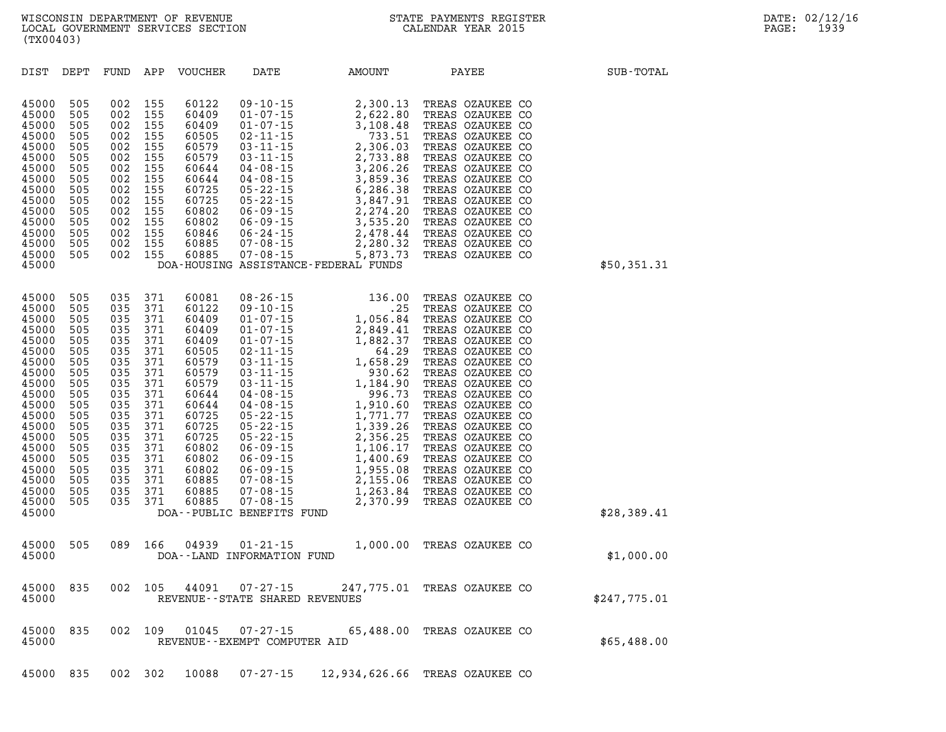| DIST                                                                                                                                                                             | DEPT                                                                                                                                     | FUND                                                                                                                                     | APP                                                                                                                                      | <b>VOUCHER</b>                                                                                                                                                                   | DATE                                                                                                                                                                                                                                                                                                       | AMOUNT                                                                                                                                                                                                                                                                                                              | PAYEE                                                                                                                                                                                                                                                                                                                                                                                                        | SUB-TOTAL    |
|----------------------------------------------------------------------------------------------------------------------------------------------------------------------------------|------------------------------------------------------------------------------------------------------------------------------------------|------------------------------------------------------------------------------------------------------------------------------------------|------------------------------------------------------------------------------------------------------------------------------------------|----------------------------------------------------------------------------------------------------------------------------------------------------------------------------------|------------------------------------------------------------------------------------------------------------------------------------------------------------------------------------------------------------------------------------------------------------------------------------------------------------|---------------------------------------------------------------------------------------------------------------------------------------------------------------------------------------------------------------------------------------------------------------------------------------------------------------------|--------------------------------------------------------------------------------------------------------------------------------------------------------------------------------------------------------------------------------------------------------------------------------------------------------------------------------------------------------------------------------------------------------------|--------------|
| 45000<br>45000<br>45000<br>45000<br>45000<br>45000<br>45000<br>45000<br>45000<br>45000<br>45000<br>45000<br>45000<br>45000<br>45000<br>45000                                     | 505<br>505<br>505<br>505<br>505<br>505<br>505<br>505<br>505<br>505<br>505<br>505<br>505<br>505<br>505                                    | 002<br>002<br>002<br>002<br>002<br>002<br>002<br>002<br>002<br>002<br>002<br>002<br>002<br>002<br>002                                    | 155<br>155<br>155<br>155<br>155<br>155<br>155<br>155<br>155<br>155<br>155<br>155<br>155<br>155<br>155                                    | 60122<br>60409<br>60409<br>60505<br>60579<br>60579<br>60644<br>60644<br>60725<br>60725<br>60802<br>60802<br>60846<br>60885<br>60885                                              | $09 - 10 - 15$<br>$01 - 07 - 15$<br>$01 - 07 - 15$<br>$02 - 11 - 15$<br>$03 - 11 - 15$<br>03 - 11 - 15<br>03 - 11 - 15<br>04 - 08 - 15<br>$04 - 08 - 15$<br>04 - 08 - 15<br>05 - 22 - 15<br>05 - 22 - 15<br>$06 - 09 - 15$<br>06 - 09 - 15<br>06 - 09 - 15<br>06 - 24 - 15<br>07 - 08 - 15<br>07 - 08 - 15 | 2,300.13<br>2,622.80<br>3,108.48<br>733.51<br>2,306.03<br>2,733.88<br>3,206.26<br>3,859.36<br>6,286.38<br>3,847.91<br>2,274.20<br>3,535.20<br>2,478.44<br>2,280.32<br>5,873.73<br>DOA-HOUSING ASSISTANCE-FEDERAL FUNDS                                                                                              | TREAS OZAUKEE CO<br>TREAS OZAUKEE CO<br>TREAS OZAUKEE CO<br>TREAS OZAUKEE CO<br>TREAS OZAUKEE CO<br>TREAS OZAUKEE CO<br>TREAS OZAUKEE CO<br>TREAS OZAUKEE CO<br>TREAS OZAUKEE CO<br>TREAS OZAUKEE CO<br>TREAS OZAUKEE CO<br>TREAS OZAUKEE CO<br>TREAS OZAUKEE CO<br>TREAS OZAUKEE CO<br>TREAS OZAUKEE CO                                                                                                     | \$50,351.31  |
| 45000<br>45000<br>45000<br>45000<br>45000<br>45000<br>45000<br>45000<br>45000<br>45000<br>45000<br>45000<br>45000<br>45000<br>45000<br>45000<br>45000<br>45000<br>45000<br>45000 | 505<br>505<br>505<br>505<br>505<br>505<br>505<br>505<br>505<br>505<br>505<br>505<br>505<br>505<br>505<br>505<br>505<br>505<br>505<br>505 | 035<br>035<br>035<br>035<br>035<br>035<br>035<br>035<br>035<br>035<br>035<br>035<br>035<br>035<br>035<br>035<br>035<br>035<br>035<br>035 | 371<br>371<br>371<br>371<br>371<br>371<br>371<br>371<br>371<br>371<br>371<br>371<br>371<br>371<br>371<br>371<br>371<br>371<br>371<br>371 | 60081<br>60122<br>60409<br>60409<br>60409<br>60505<br>60579<br>60579<br>60579<br>60644<br>60644<br>60725<br>60725<br>60725<br>60802<br>60802<br>60802<br>60885<br>60885<br>60885 | $08 - 26 - 15$<br>$09 - 10 - 15$<br>$01 - 07 - 15$<br>$05 - 22 - 15$<br>$05 - 22 - 15$<br>$05 - 22 - 15$<br>$06 - 09 - 15$<br>$06 - 09 - 15$<br>$06 - 09 - 15$<br>00 - 09 - 15<br>07 - 08 - 15<br>07 - 08 - 15<br>$07 - 08 - 15$                                                                           | 136.00<br>.25<br>1,056.84<br>$01-07-15$<br>$01-07-15$<br>$02-11-15$<br>$03-11-15$<br>$04-08-15$<br>$05-22-15$<br>$06-28-15$<br>$07-15$<br>$08-15$<br>$09-67$<br>$01-08-15$<br>$06-28-15$<br>$01-771.77$<br>1,771.77<br>1,339.26<br>2,356.25<br>1,106.17<br>1,400.69<br>1,955.08<br>2,155.06<br>1,263.84<br>2,370.99 | TREAS OZAUKEE CO<br>TREAS OZAUKEE CO<br>TREAS OZAUKEE CO<br>TREAS OZAUKEE CO<br>TREAS OZAUKEE CO<br>TREAS OZAUKEE CO<br>TREAS OZAUKEE CO<br>TREAS OZAUKEE CO<br>TREAS OZAUKEE CO<br>TREAS OZAUKEE CO<br>TREAS OZAUKEE CO<br>TREAS OZAUKEE CO<br>TREAS OZAUKEE CO<br>TREAS OZAUKEE CO<br>TREAS OZAUKEE CO<br>TREAS OZAUKEE CO<br>TREAS OZAUKEE CO<br>TREAS OZAUKEE CO<br>TREAS OZAUKEE CO<br>TREAS OZAUKEE CO |              |
| 45000                                                                                                                                                                            |                                                                                                                                          |                                                                                                                                          |                                                                                                                                          |                                                                                                                                                                                  | DOA--PUBLIC BENEFITS FUND                                                                                                                                                                                                                                                                                  |                                                                                                                                                                                                                                                                                                                     |                                                                                                                                                                                                                                                                                                                                                                                                              | \$28,389.41  |
| 45000<br>45000                                                                                                                                                                   | 505                                                                                                                                      | 089                                                                                                                                      | 166                                                                                                                                      | 04939                                                                                                                                                                            | $01 - 21 - 15$<br>DOA--LAND INFORMATION FUND                                                                                                                                                                                                                                                               |                                                                                                                                                                                                                                                                                                                     | 1,000.00 TREAS OZAUKEE CO                                                                                                                                                                                                                                                                                                                                                                                    | \$1,000.00   |
| 45000<br>45000                                                                                                                                                                   | 835                                                                                                                                      | 002                                                                                                                                      | 105                                                                                                                                      | 44091                                                                                                                                                                            | $07 - 27 - 15$<br>REVENUE - - STATE SHARED REVENUES                                                                                                                                                                                                                                                        |                                                                                                                                                                                                                                                                                                                     | 247,775.01 TREAS OZAUKEE CO                                                                                                                                                                                                                                                                                                                                                                                  | \$247,775.01 |
| 45000<br>45000                                                                                                                                                                   | 835                                                                                                                                      | 002                                                                                                                                      | 109                                                                                                                                      | 01045                                                                                                                                                                            | 07-27-15<br>REVENUE--EXEMPT COMPUTER AID                                                                                                                                                                                                                                                                   |                                                                                                                                                                                                                                                                                                                     | 65,488.00 TREAS OZAUKEE CO                                                                                                                                                                                                                                                                                                                                                                                   | \$65,488.00  |

**45000 835 002 302 10088 07-27-15 12,934,626.66 TREAS OZAUKEE CO**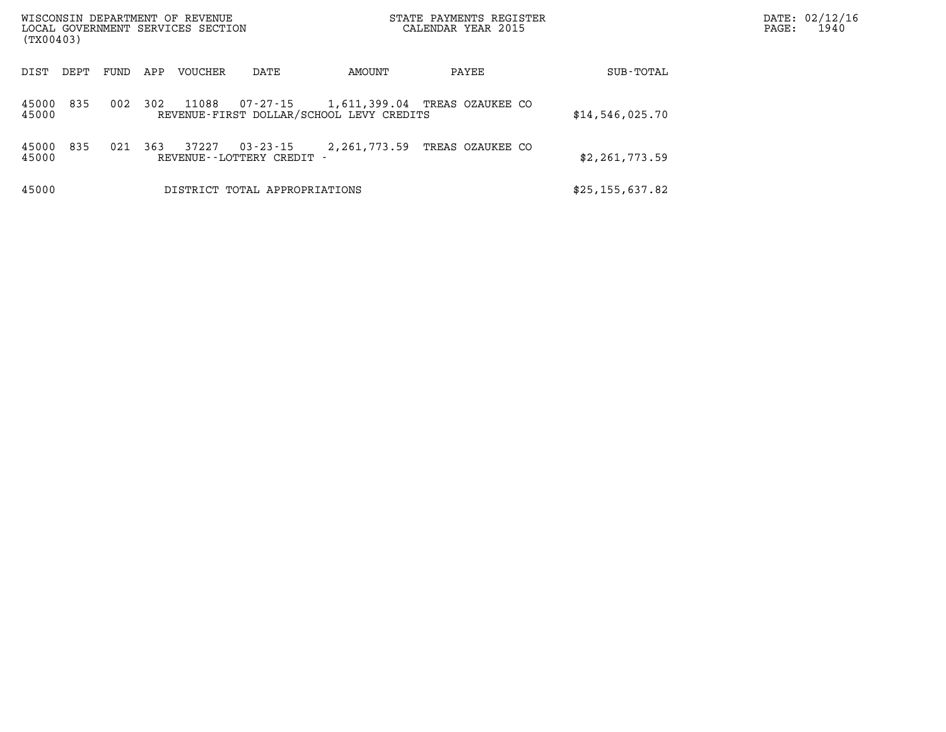| (TX00403)      |      |      |     | WISCONSIN DEPARTMENT OF REVENUE<br>LOCAL GOVERNMENT SERVICES SECTION |                                           |                                          | STATE PAYMENTS REGISTER<br>CALENDAR YEAR 2015 |                   | DATE: 02/12/16<br>1940<br>PAGE: |
|----------------|------|------|-----|----------------------------------------------------------------------|-------------------------------------------|------------------------------------------|-----------------------------------------------|-------------------|---------------------------------|
| DIST           | DEPT | FUND | APP | <b>VOUCHER</b>                                                       | DATE                                      | AMOUNT                                   | PAYEE                                         | SUB-TOTAL         |                                 |
| 45000<br>45000 | 835  | 002  | 302 | 11088                                                                | 07-27-15                                  | REVENUE-FIRST DOLLAR/SCHOOL LEVY CREDITS | 1,611,399.04 TREAS OZAUKEE CO                 | \$14,546,025.70   |                                 |
| 45000<br>45000 | 835  | 021  | 363 | 37227                                                                | $03 - 23 - 15$<br>REVENUE--LOTTERY CREDIT | 2,261,773.59                             | TREAS OZAUKEE CO                              | \$2,261,773.59    |                                 |
| 45000          |      |      |     |                                                                      | DISTRICT TOTAL APPROPRIATIONS             |                                          |                                               | \$25, 155, 637.82 |                                 |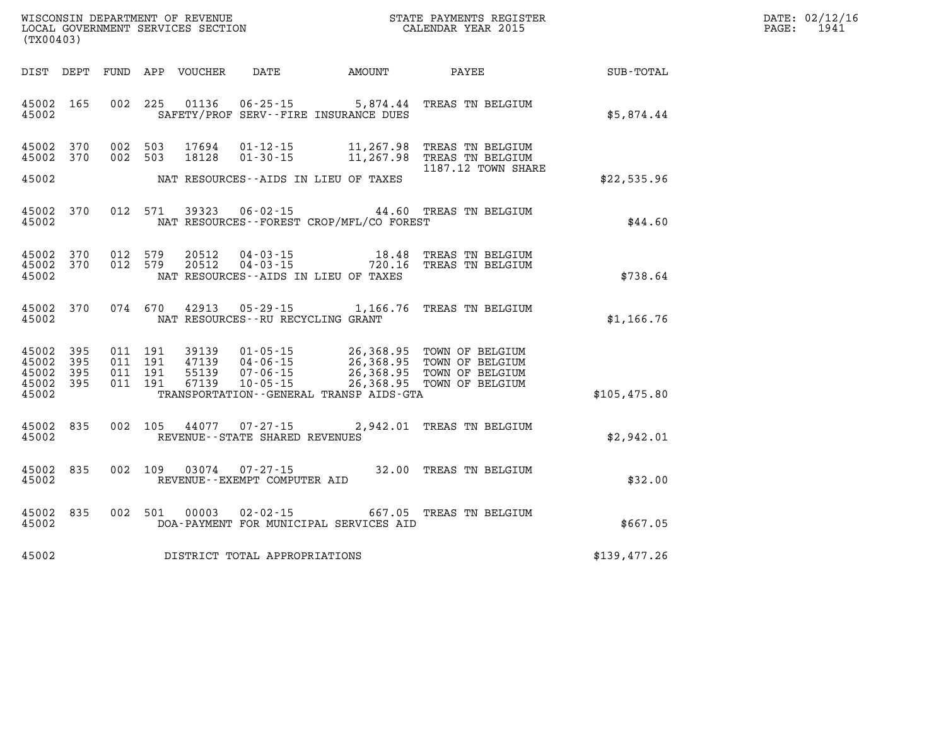| WISCONSIN DEPARTMENT OF REVENUE      | PAYMENTS REGISTER<br>3TATE | DATE: | 02/12/16 |
|--------------------------------------|----------------------------|-------|----------|
| GOVERNMENT SERVICES SECTION<br>LOCAL | CALENDAR YEAR 2015         | PAGE  | 1941     |

|                         | LOCAL GOVERNMENT SERVICES SECTION<br>(TX00403) |  |                                          |                                  |                                                     | CALENDAR YEAR 2015                                              |                                                                                                                                                      |              | PAGE: | 1941 |
|-------------------------|------------------------------------------------|--|------------------------------------------|----------------------------------|-----------------------------------------------------|-----------------------------------------------------------------|------------------------------------------------------------------------------------------------------------------------------------------------------|--------------|-------|------|
|                         |                                                |  |                                          | DIST DEPT FUND APP VOUCHER       |                                                     |                                                                 | DATE AMOUNT PAYEE                                                                                                                                    | SUB-TOTAL    |       |      |
| 45002                   | 45002 165                                      |  | 002 225                                  | 01136                            |                                                     | SAFETY/PROF SERV--FIRE INSURANCE DUES                           | 06-25-15 5,874.44 TREAS TN BELGIUM                                                                                                                   | \$5,874.44   |       |      |
|                         | 45002 370<br>45002 370                         |  | 002 503<br>002 503                       | 17694<br>18128                   | $01 - 30 - 15$                                      |                                                                 | 01-12-15 11,267.98 TREAS TN BELGIUM<br>11,267.98 TREAS TN BELGIUM<br>1187.12 TOWN SHARE                                                              |              |       |      |
| 45002                   |                                                |  |                                          |                                  |                                                     | NAT RESOURCES--AIDS IN LIEU OF TAXES                            |                                                                                                                                                      | \$22,535.96  |       |      |
| 45002                   | 45002 370                                      |  | 012 571                                  | 39323                            |                                                     | NAT RESOURCES - - FOREST CROP/MFL/CO FOREST                     | 06-02-15 44.60 TREAS TN BELGIUM                                                                                                                      | \$44.60      |       |      |
| 45002                   | 45002 370<br>45002 370                         |  | 012 579<br>012 579                       | 20512<br>20512                   |                                                     | NAT RESOURCES -- AIDS IN LIEU OF TAXES                          |                                                                                                                                                      | \$738.64     |       |      |
| 45002                   | 45002 370                                      |  | 074 670                                  | 42913                            |                                                     | $05 - 29 - 15$ 1, 166.76<br>NAT RESOURCES -- RU RECYCLING GRANT | TREAS TN BELGIUM                                                                                                                                     | \$1,166.76   |       |      |
| 45002<br>45002<br>45002 | 45002 395<br>395<br>- 395<br>45002 395         |  | 011 191<br>011 191<br>011 191<br>011 191 | 39139<br>47139<br>55139<br>67139 |                                                     | TRANSPORTATION - - GENERAL TRANSP AIDS - GTA                    | 01-05-15 26,368.95 TOWN OF BELGIUM<br>04-06-15 26,368.95 TOWN OF BELGIUM<br>07-06-15 26,368.95 TOWN OF BELGIUM<br>10-05-15 26,368.95 TOWN OF BELGIUM | \$105,475.80 |       |      |
| 45002                   | 45002 835                                      |  | 002 105                                  | 44077                            | $07 - 27 - 15$<br>REVENUE - - STATE SHARED REVENUES |                                                                 | 2,942.01 TREAS TN BELGIUM                                                                                                                            | \$2,942.01   |       |      |
| 45002                   | 45002 835                                      |  | 002 109                                  | 03074                            | $07 - 27 - 15$<br>REVENUE--EXEMPT COMPUTER AID      |                                                                 | 32.00 TREAS TN BELGIUM                                                                                                                               | \$32.00      |       |      |
| 45002                   | 45002 835                                      |  | 002 501                                  | 00003                            | $02 - 02 - 15$                                      | DOA-PAYMENT FOR MUNICIPAL SERVICES AID                          | 667.05 TREAS TN BELGIUM                                                                                                                              | \$667.05     |       |      |
| 45002                   |                                                |  |                                          |                                  | DISTRICT TOTAL APPROPRIATIONS                       |                                                                 |                                                                                                                                                      | \$139,477.26 |       |      |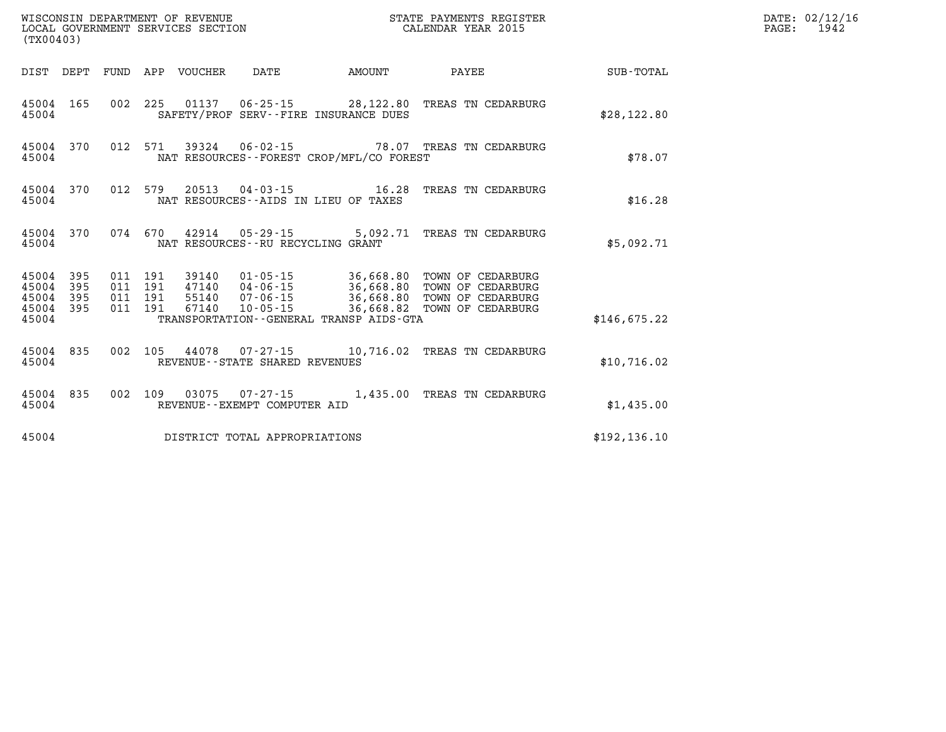| (TX00403)                       |                  |  |                                 |                                   |                                              |                                                           |               | DATE: 02/12/16<br>PAGE: 1942 |
|---------------------------------|------------------|--|---------------------------------|-----------------------------------|----------------------------------------------|-----------------------------------------------------------|---------------|------------------------------|
|                                 |                  |  | DIST DEPT FUND APP VOUCHER DATE |                                   |                                              | AMOUNT PAYEE SUB-TOTAL                                    |               |                              |
| 45004                           | 45004 165        |  |                                 |                                   | SAFETY/PROF SERV--FIRE INSURANCE DUES        | 002 225 01137 06-25-15 28,122.80 TREAS TN CEDARBURG       | \$28,122.80   |                              |
| 45004                           | 45004 370        |  |                                 |                                   | NAT RESOURCES--FOREST CROP/MFL/CO FOREST     | 012 571 39324 06-02-15 78.07 TREAS TN CEDARBURG           | \$78.07       |                              |
| 45004                           |                  |  |                                 |                                   | NAT RESOURCES--AIDS IN LIEU OF TAXES         | 45004 370 012 579 20513 04-03-15 16.28 TREAS TN CEDARBURG | \$16.28       |                              |
| 45004                           | 45004 370        |  |                                 | NAT RESOURCES--RU RECYCLING GRANT |                                              | 074  670  42914  05-29-15   5,092.71  TREAS TN CEDARBURG  | \$5,092.71    |                              |
| 45004 395<br>45004<br>45004 395 | 395<br>45004 395 |  |                                 |                                   |                                              |                                                           |               |                              |
| 45004                           |                  |  |                                 |                                   | TRANSPORTATION - - GENERAL TRANSP AIDS - GTA |                                                           | \$146.675.22  |                              |
| 45004                           | 45004 835        |  |                                 | REVENUE--STATE SHARED REVENUES    |                                              | 002 105 44078 07-27-15 10,716.02 TREAS TN CEDARBURG       | \$10,716.02   |                              |
| 45004                           | 45004 835        |  |                                 | REVENUE--EXEMPT COMPUTER AID      |                                              | 002 109 03075 07-27-15 1,435.00 TREAS TN CEDARBURG        | \$1,435.00    |                              |
| 45004                           |                  |  |                                 | DISTRICT TOTAL APPROPRIATIONS     |                                              |                                                           | \$192, 136.10 |                              |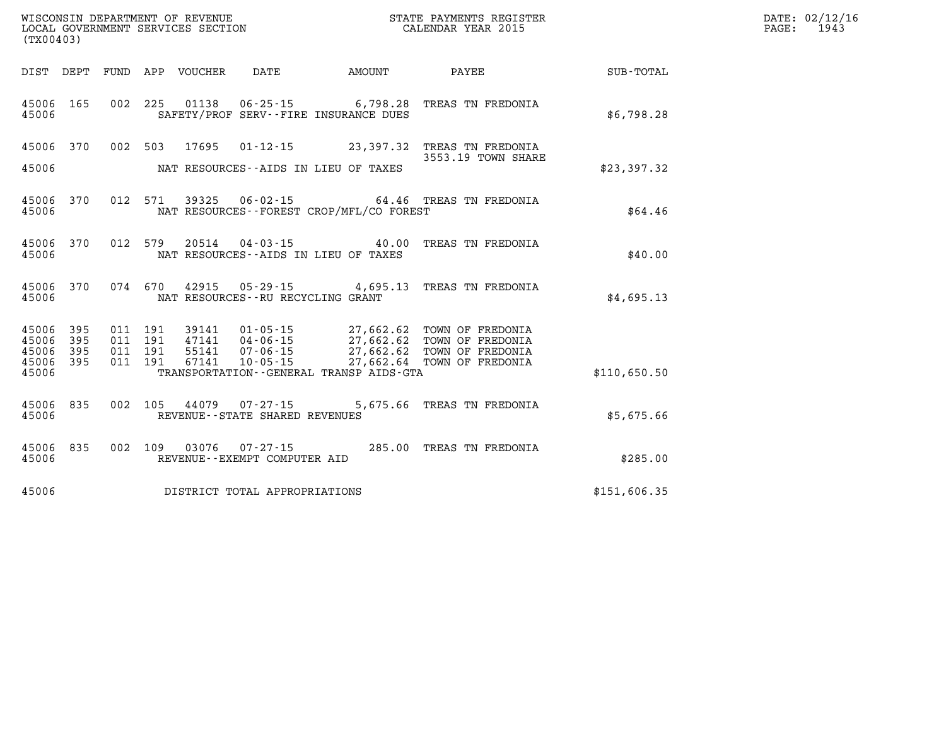| (TX00403)               |                                      |  |                                                          |                                          | WISCONSIN DEPARTMENT OF REVENUE<br>LOCAL GOVERNMENT SERVICES SECTION<br>CALENDAR YEAR 2015 |              | DATE: 02/12/16<br>PAGE: 1943 |
|-------------------------|--------------------------------------|--|----------------------------------------------------------|------------------------------------------|--------------------------------------------------------------------------------------------|--------------|------------------------------|
|                         |                                      |  | DIST DEPT FUND APP VOUCHER DATE AMOUNT                   |                                          | PAYEE SUB-TOTAL                                                                            |              |                              |
| 45006                   | 45006 165                            |  |                                                          | SAFETY/PROF SERV--FIRE INSURANCE DUES    | 002 225 01138 06-25-15 6,798.28 TREAS TN FREDONIA                                          | \$6,798.28   |                              |
| 45006                   |                                      |  |                                                          | NAT RESOURCES--AIDS IN LIEU OF TAXES     | 45006 370 002 503 17695 01-12-15 23,397.32 TREAS TN FREDONIA<br>3553.19 TOWN SHARE         | \$23,397.32  |                              |
| 45006                   |                                      |  |                                                          | NAT RESOURCES--FOREST CROP/MFL/CO FOREST | 45006 370 012 571 39325 06-02-15 64.46 TREAS TN FREDONIA                                   | \$64.46      |                              |
| 45006                   |                                      |  |                                                          | NAT RESOURCES--AIDS IN LIEU OF TAXES     | 45006 370 012 579 20514 04-03-15 40.00 TREAS TN FREDONIA                                   | \$40.00      |                              |
|                         | 45006                                |  | NAT RESOURCES--RU RECYCLING GRANT                        |                                          | 45006 370 074 670 42915 05-29-15 4,695.13 TREAS TN FREDONIA                                | \$4,695.13   |                              |
| 45006<br>45006<br>45006 | 45006 395<br>395<br>395<br>45006 395 |  |                                                          | TRANSPORTATION--GENERAL TRANSP AIDS-GTA  |                                                                                            | \$110,650.50 |                              |
| 45006                   | 45006 835                            |  | 002 105 44079 07-27-15<br>REVENUE--STATE SHARED REVENUES |                                          | 5,675.66 TREAS TN FREDONIA                                                                 | \$5,675.66   |                              |
| 45006                   |                                      |  | REVENUE--EXEMPT COMPUTER AID                             |                                          | 45006 835 002 109 03076 07-27-15 285.00 TREAS TN FREDONIA                                  | \$285.00     |                              |
| 45006                   |                                      |  | DISTRICT TOTAL APPROPRIATIONS                            |                                          |                                                                                            | \$151,606.35 |                              |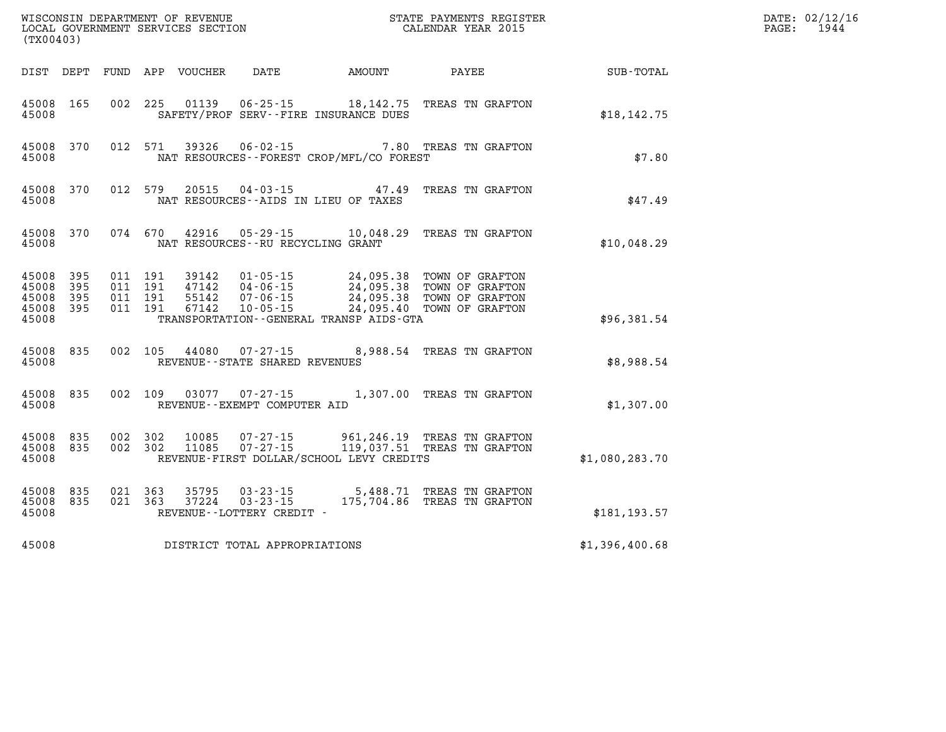| (TX00403)                                     |                   |                               |         | WISCONSIN DEPARTMENT OF REVENUE<br>LOCAL GOVERNMENT SERVICES SECTION |                                      | STATE PAYMENTS REGISTER<br>CALENDAR YEAR 2015 |                                                                                                                                                                                          | DATE: 02/12/16<br>$\mathtt{PAGE:}$<br>1944 |  |
|-----------------------------------------------|-------------------|-------------------------------|---------|----------------------------------------------------------------------|--------------------------------------|-----------------------------------------------|------------------------------------------------------------------------------------------------------------------------------------------------------------------------------------------|--------------------------------------------|--|
|                                               |                   |                               |         | DIST DEPT FUND APP VOUCHER                                           | DATE                                 | AMOUNT                                        | PAYEE                                                                                                                                                                                    | SUB-TOTAL                                  |  |
| 45008 165<br>45008                            |                   |                               |         |                                                                      |                                      | SAFETY/PROF SERV--FIRE INSURANCE DUES         | 002 225 01139 06-25-15 18,142.75 TREAS TN GRAFTON                                                                                                                                        | \$18, 142.75                               |  |
| 45008                                         | 45008 370         |                               |         |                                                                      |                                      | NAT RESOURCES - - FOREST CROP/MFL/CO FOREST   | 012 571 39326 06-02-15 7.80 TREAS TN GRAFTON                                                                                                                                             | \$7.80                                     |  |
| 45008                                         | 45008 370         |                               | 012 579 |                                                                      | NAT RESOURCES--AIDS IN LIEU OF TAXES | 20515 04-03-15 47.49                          | TREAS TN GRAFTON                                                                                                                                                                         | \$47.49                                    |  |
| 45008                                         | 45008 370         |                               |         |                                                                      | NAT RESOURCES--RU RECYCLING GRANT    | 074 670 42916 05-29-15 10,048.29              | TREAS TN GRAFTON                                                                                                                                                                         | \$10,048.29                                |  |
| 45008<br>45008<br>45008<br>45008 395<br>45008 | 395<br>395<br>395 | 011 191<br>011 191<br>011 191 | 011 191 |                                                                      |                                      | TRANSPORTATION--GENERAL TRANSP AIDS-GTA       | 39142  01-05-15  24,095.38  TOWN OF GRAFTON<br>47142  04-06-15  24,095.38  TOWN OF GRAFTON<br>55142  07-06-15  24,095.38  TOWN OF GRAFTON<br>67142  10-05-15  24,095.40  TOWN OF GRAFTON | \$96,381.54                                |  |
| 45008                                         | 45008 835         |                               |         |                                                                      | REVENUE--STATE SHARED REVENUES       |                                               | 002 105 44080 07-27-15 8,988.54 TREAS TN GRAFTON                                                                                                                                         | \$8,988.54                                 |  |
| 45008 835<br>45008                            |                   |                               |         |                                                                      | REVENUE--EXEMPT COMPUTER AID         |                                               | 002 109 03077 07-27-15 1,307.00 TREAS TN GRAFTON                                                                                                                                         | \$1,307.00                                 |  |
| 45008 835<br>45008 835<br>45008               |                   | 002 302<br>002 302            |         | 10085<br>11085                                                       |                                      | REVENUE-FIRST DOLLAR/SCHOOL LEVY CREDITS      | 07-27-15 961, 246.19 TREAS TN GRAFTON<br>07-27-15 119,037.51 TREAS TN GRAFTON                                                                                                            | \$1,080,283.70                             |  |
| 45008 835<br>45008 835<br>45008               |                   | 021 363<br>021 363            |         | 37224                                                                | REVENUE--LOTTERY CREDIT -            |                                               | 35795 03-23-15 5,488.71 TREAS TN GRAFTON<br>03-23-15 175,704.86 TREAS TN GRAFTON                                                                                                         | \$181,193.57                               |  |
| 45008                                         |                   |                               |         |                                                                      | DISTRICT TOTAL APPROPRIATIONS        |                                               |                                                                                                                                                                                          | \$1,396,400.68                             |  |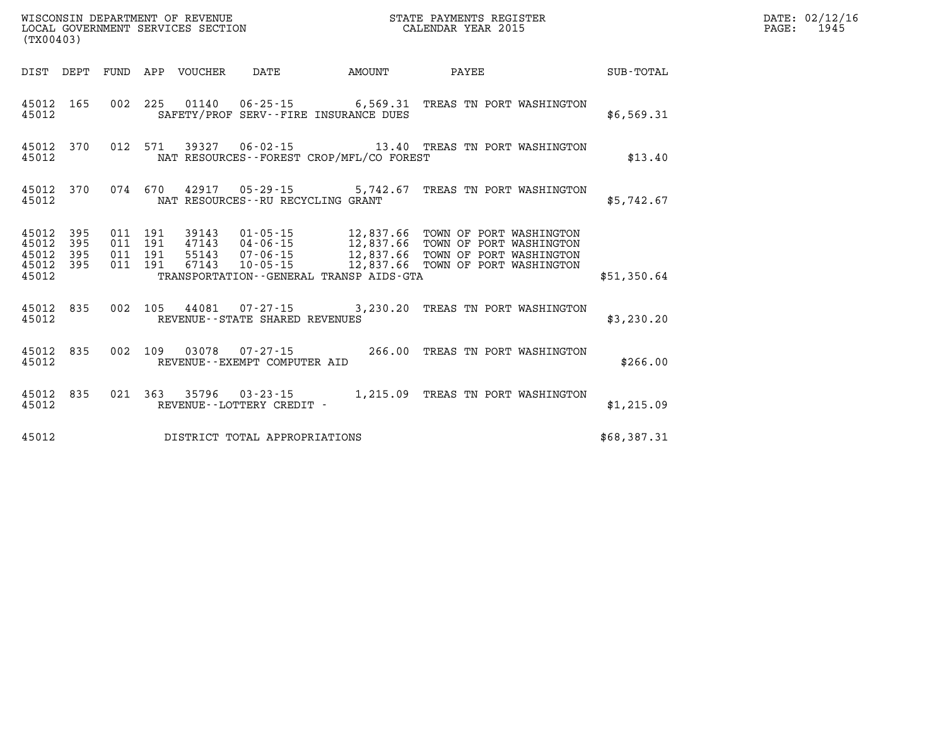| (TX00403)                                     |                   |                               |         |                            | WISCONSIN DEPARTMENT OF REVENUE<br>LOCAL GOVERNMENT SERVICES SECTION<br>(TYO0403) |                                             | STATE PAYMENTS REGISTER<br>CALENDAR YEAR 2015                                                                                                                                                                   |             | DATE: 02/12/16<br>1945<br>$\mathtt{PAGE}$ : |
|-----------------------------------------------|-------------------|-------------------------------|---------|----------------------------|-----------------------------------------------------------------------------------|---------------------------------------------|-----------------------------------------------------------------------------------------------------------------------------------------------------------------------------------------------------------------|-------------|---------------------------------------------|
|                                               |                   |                               |         | DIST DEPT FUND APP VOUCHER | DATE                                                                              | AMOUNT                                      | PAYEE                                                                                                                                                                                                           | SUB-TOTAL   |                                             |
| 45012                                         | 45012 165         |                               |         |                            |                                                                                   | SAFETY/PROF SERV--FIRE INSURANCE DUES       | 002 225 01140 06-25-15 6,569.31 TREAS TN PORT WASHINGTON                                                                                                                                                        | \$6,569.31  |                                             |
| 45012                                         | 45012 370         |                               |         |                            |                                                                                   | NAT RESOURCES - - FOREST CROP/MFL/CO FOREST | 012 571 39327 06-02-15 13.40 TREAS TN PORT WASHINGTON                                                                                                                                                           | \$13.40     |                                             |
| 45012                                         | 45012 370         |                               |         |                            | NAT RESOURCES - - RU RECYCLING GRANT                                              |                                             | 074 670 42917 05-29-15 5,742.67 TREAS TN PORT WASHINGTON                                                                                                                                                        | \$5,742.67  |                                             |
| 45012<br>45012<br>45012<br>45012 395<br>45012 | 395<br>395<br>395 | 011 191<br>011 191<br>011 191 | 011 191 | 39143                      |                                                                                   | TRANSPORTATION--GENERAL TRANSP AIDS-GTA     | 01-05-15 12,837.66 TOWN OF PORT WASHINGTON<br>47143  04-06-15  12,837.66  TOWN OF PORT WASHINGTON<br>55143  07-06-15  12,837.66  TOWN OF PORT WASHINGTON<br>67143  10-05-15  12,837.66  TOWN OF PORT WASHINGTON | \$51,350.64 |                                             |
| 45012                                         | 45012 835         |                               |         |                            | REVENUE--STATE SHARED REVENUES                                                    |                                             | 002 105 44081 07-27-15 3,230.20 TREAS TN PORT WASHINGTON                                                                                                                                                        | \$3,230.20  |                                             |
| 45012                                         | 45012 835         |                               |         |                            | REVENUE--EXEMPT COMPUTER AID                                                      |                                             | 002 109 03078 07-27-15 266.00 TREAS TN PORT WASHINGTON                                                                                                                                                          | \$266.00    |                                             |
| 45012 835<br>45012                            |                   |                               |         |                            | REVENUE--LOTTERY CREDIT -                                                         |                                             | 021 363 35796 03-23-15 1,215.09 TREAS TN PORT WASHINGTON                                                                                                                                                        | \$1,215.09  |                                             |
| 45012                                         |                   |                               |         |                            | DISTRICT TOTAL APPROPRIATIONS                                                     |                                             |                                                                                                                                                                                                                 | \$68,387.31 |                                             |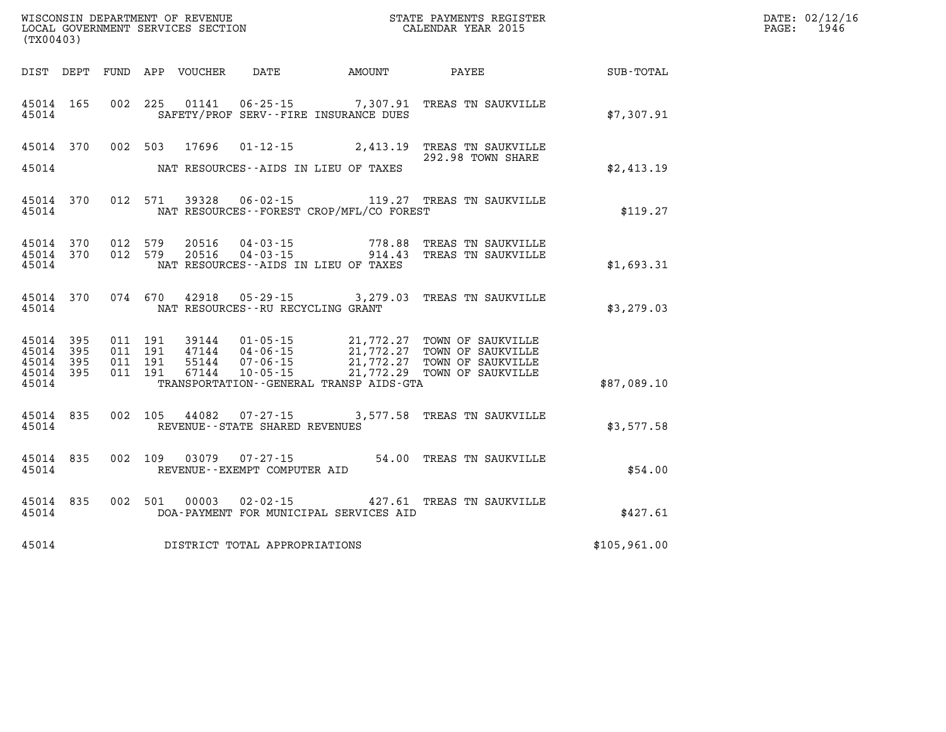| (TX00403)                                                 |                                                                                                                                                                                                                                                                                                                                                                                                                      |                                    |              | DATE: 02/12/16<br>$\mathtt{PAGE}$ :<br>1946 |
|-----------------------------------------------------------|----------------------------------------------------------------------------------------------------------------------------------------------------------------------------------------------------------------------------------------------------------------------------------------------------------------------------------------------------------------------------------------------------------------------|------------------------------------|--------------|---------------------------------------------|
|                                                           |                                                                                                                                                                                                                                                                                                                                                                                                                      |                                    |              |                                             |
| 45014                                                     | 45014 165 002 225 01141 06-25-15 7,307.91 TREAS TN SAUKVILLE<br>SAFETY/PROF SERV--FIRE INSURANCE DUES                                                                                                                                                                                                                                                                                                                |                                    | \$7,307.91   |                                             |
| 45014                                                     | 45014 370 002 503 17696 01-12-15 2,413.19 TREAS TN SAUKVILLE<br>NAT RESOURCES--AIDS IN LIEU OF TAXES                                                                                                                                                                                                                                                                                                                 | 292.98 TOWN SHARE                  | \$2,413.19   |                                             |
| 45014                                                     | 45014 370 012 571 39328 06-02-15 119.27 TREAS TN SAUKVILLE<br>NAT RESOURCES--FOREST CROP/MFL/CO FOREST                                                                                                                                                                                                                                                                                                               |                                    | \$119.27     |                                             |
| 45014 370<br>45014 370<br>45014                           | 012 579 20516 04-03-15 778.88 TREAS TN SAUKVILLE<br>012 579 20516 04-03-15 914.43 TREAS TN SAUKVILLE<br>NAT RESOURCES--AIDS IN LIEU OF TAXES                                                                                                                                                                                                                                                                         |                                    | \$1,693.31   |                                             |
| 45014                                                     | 45014 370 074 670 42918 05-29-15 3,279.03 TREAS TN SAUKVILLE<br>NAT RESOURCES -- RU RECYCLING GRANT                                                                                                                                                                                                                                                                                                                  |                                    | \$3,279.03   |                                             |
| 45014 395<br>45014 395<br>45014 395<br>45014 395<br>45014 | $\begin{array}{cccc} 011 & 191 & 39144 & 01\cdot 05\cdot 15 & 21,772.27 & \text{TOWN OF SAUKVILLE} \\ 011 & 191 & 47144 & 04\cdot 06\cdot 15 & 21,772.27 & \text{TOWN OF SAUKVILLE} \\ 011 & 191 & 55144 & 07\cdot 06\cdot 15 & 21,772.27 & \text{TOWN OF SAUKVILLE} \\ 011 & 191 & 67144 & 10\cdot 05\cdot 15 & 21,772.29 & \text{TOWN OF SAUKVILLE} \$<br>011 191 67144<br>TRANSPORTATION--GENERAL TRANSP AIDS-GTA |                                    | \$87,089.10  |                                             |
| 45014                                                     | 45014 835 002 105 44082 07-27-15 3,577.58 TREAS TN SAUKVILLE<br>REVENUE--STATE SHARED REVENUES                                                                                                                                                                                                                                                                                                                       |                                    | \$3,577.58   |                                             |
| 45014 835 002 109 03079<br>45014                          | $07 - 27 - 15$<br>REVENUE--EXEMPT COMPUTER AID                                                                                                                                                                                                                                                                                                                                                                       | 54.00 TREAS TN SAUKVILLE           | \$54.00      |                                             |
| 45014 835 002 501 00003<br>45014                          | DOA-PAYMENT FOR MUNICIPAL SERVICES AID                                                                                                                                                                                                                                                                                                                                                                               | 02-02-15 427.61 TREAS TN SAUKVILLE | \$427.61     |                                             |
|                                                           | 45014 DISTRICT TOTAL APPROPRIATIONS                                                                                                                                                                                                                                                                                                                                                                                  |                                    | \$105,961.00 |                                             |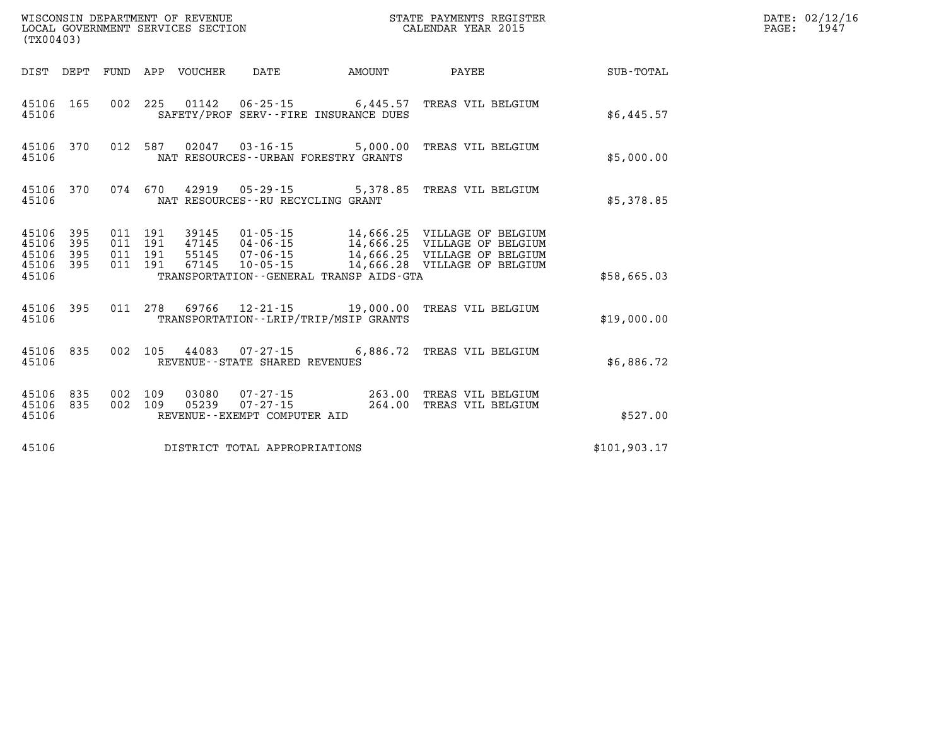| (TX00403)                                     |                   |                    |                    |                                  |                                                          |                                          | STATE PAYMENTS REGISTER                                |              | DATE: 02/12/16<br>$\mathtt{PAGE}$ :<br>1947 |
|-----------------------------------------------|-------------------|--------------------|--------------------|----------------------------------|----------------------------------------------------------|------------------------------------------|--------------------------------------------------------|--------------|---------------------------------------------|
|                                               | DIST DEPT         |                    |                    | FUND APP VOUCHER                 | DATE                                                     | <b>AMOUNT</b>                            | PAYEE                                                  | SUB-TOTAL    |                                             |
| 45106 165<br>45106                            |                   |                    |                    |                                  |                                                          | SAFETY/PROF SERV--FIRE INSURANCE DUES    | 002 225 01142 06-25-15 6,445.57 TREAS VIL BELGIUM      | \$6,445.57   |                                             |
| 45106                                         | 45106 370         |                    |                    |                                  |                                                          | NAT RESOURCES--URBAN FORESTRY GRANTS     | 012 587 02047 03-16-15 5,000.00 TREAS VIL BELGIUM      | \$5,000.00   |                                             |
| 45106 370<br>45106                            |                   |                    |                    |                                  | NAT RESOURCES--RU RECYCLING GRANT                        |                                          | 074 670 42919 05-29-15 5,378.85 TREAS VIL BELGIUM      | \$5,378.85   |                                             |
| 45106<br>45106<br>45106<br>45106 395<br>45106 | 395<br>395<br>395 | 011 191<br>011 191 | 011 191<br>011 191 | 39145<br>47145<br>55145<br>67145 |                                                          | TRANSPORTATION--GENERAL TRANSP AIDS-GTA  |                                                        | \$58,665.03  |                                             |
| 45106 395<br>45106                            |                   |                    |                    |                                  |                                                          | TRANSPORTATION - - LRIP/TRIP/MSIP GRANTS | 011 278 69766 12-21-15 19,000.00 TREAS VIL BELGIUM     | \$19,000.00  |                                             |
| 45106 835<br>45106                            |                   |                    |                    |                                  | 002 105 44083 07-27-15<br>REVENUE--STATE SHARED REVENUES |                                          | 6,886.72 TREAS VIL BELGIUM                             | \$6,886.72   |                                             |
| 45106<br>45106 835<br>45106                   | 835               | 002<br>002 109     | 109                | 03080                            | 05239 07-27-15<br>REVENUE--EXEMPT COMPUTER AID           | 264.00                                   | 07-27-15 263.00 TREAS VIL BELGIUM<br>TREAS VIL BELGIUM | \$527.00     |                                             |
| 45106                                         |                   |                    |                    |                                  | DISTRICT TOTAL APPROPRIATIONS                            |                                          |                                                        | \$101,903.17 |                                             |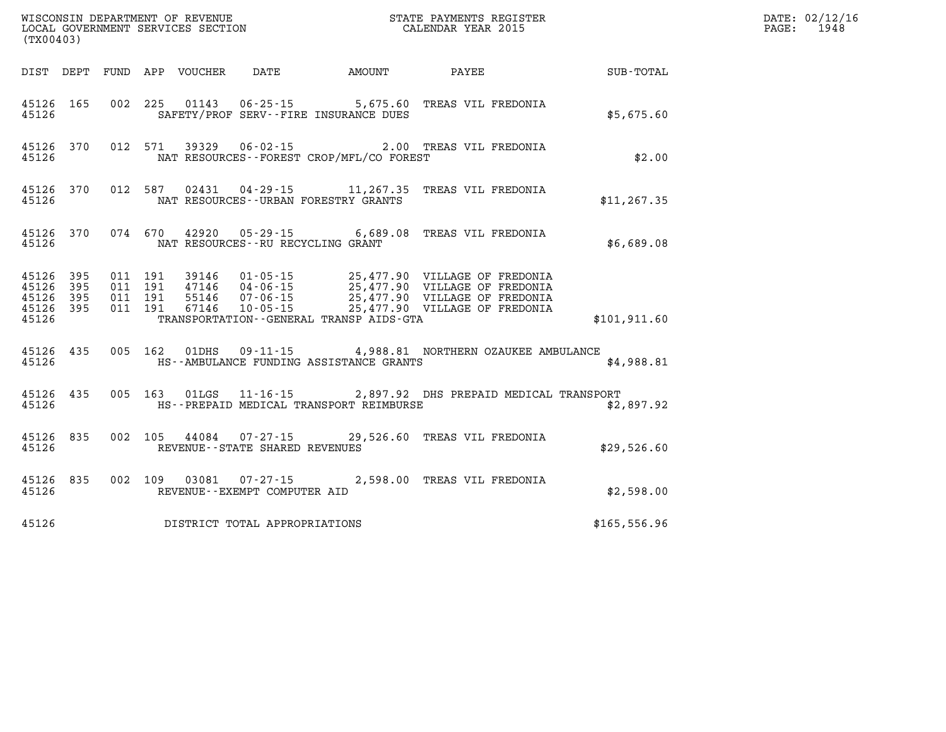| (TX00403) |                                                  |  |                         |                                                |                                          |                                                                                                                                                                                                                              |               | DATE: 02/12/16<br>$\mathtt{PAGE:}$<br>1948 |
|-----------|--------------------------------------------------|--|-------------------------|------------------------------------------------|------------------------------------------|------------------------------------------------------------------------------------------------------------------------------------------------------------------------------------------------------------------------------|---------------|--------------------------------------------|
|           |                                                  |  |                         |                                                |                                          | DIST DEPT FUND APP VOUCHER DATE AMOUNT PAYEE                                                                                                                                                                                 | SUB-TOTAL     |                                            |
| 45126     |                                                  |  |                         |                                                | SAFETY/PROF SERV--FIRE INSURANCE DUES    | 45126 165 002 225 01143 06-25-15 5,675.60 TREAS VIL FREDONIA                                                                                                                                                                 | \$5,675.60    |                                            |
| 45126     | 45126 370                                        |  |                         |                                                | NAT RESOURCES--FOREST CROP/MFL/CO FOREST | 012 571 39329 06-02-15 2.00 TREAS VIL FREDONIA                                                                                                                                                                               | \$2.00        |                                            |
| 45126     |                                                  |  |                         |                                                | NAT RESOURCES--URBAN FORESTRY GRANTS     | 45126 370 012 587 02431 04-29-15 11,267.35 TREAS VIL FREDONIA                                                                                                                                                                | \$11, 267.35  |                                            |
| 45126     |                                                  |  |                         | NAT RESOURCES--RU RECYCLING GRANT              |                                          | 45126 370 074 670 42920 05-29-15 6,689.08 TREAS VIL FREDONIA                                                                                                                                                                 | \$6,689.08    |                                            |
| 45126     | 45126 395<br>45126 395<br>45126 395<br>45126 395 |  |                         |                                                | TRANSPORTATION--GENERAL TRANSP AIDS-GTA  | 011 191 39146 01-05-15 25,477.90 VILLAGE OF FREDONIA<br>011 191 47146 04-06-15 25,477.90 VILLAGE OF FREDONIA<br>011 191 67146 07-06-15 25,477.90 VILLAGE OF FREDONIA<br>011 191 67146 10-05-15 25,477.90 VILLAGE OF FREDONIA | \$101.911.60  |                                            |
| 45126     |                                                  |  |                         |                                                | HS--AMBULANCE FUNDING ASSISTANCE GRANTS  | 45126 435 005 162 01DHS 09-11-15 4,988.81 NORTHERN OZAUKEE AMBULANCE                                                                                                                                                         | \$4,988.81    |                                            |
| 45126     |                                                  |  |                         |                                                | HS--PREPAID MEDICAL TRANSPORT REIMBURSE  | 45126 435 005 163 01LGS 11-16-15 2,897.92 DHS PREPAID MEDICAL TRANSPORT                                                                                                                                                      | \$2,897.92    |                                            |
| 45126     | 45126 835                                        |  |                         | REVENUE--STATE SHARED REVENUES                 |                                          | 002 105 44084 07-27-15 29,526.60 TREAS VIL FREDONIA                                                                                                                                                                          | \$29,526.60   |                                            |
| 45126     |                                                  |  | 45126 835 002 109 03081 | $07 - 27 - 15$<br>REVENUE--EXEMPT COMPUTER AID |                                          | 2,598.00 TREAS VIL FREDONIA                                                                                                                                                                                                  | \$2,598.00    |                                            |
| 45126     |                                                  |  |                         | DISTRICT TOTAL APPROPRIATIONS                  |                                          |                                                                                                                                                                                                                              | \$165, 556.96 |                                            |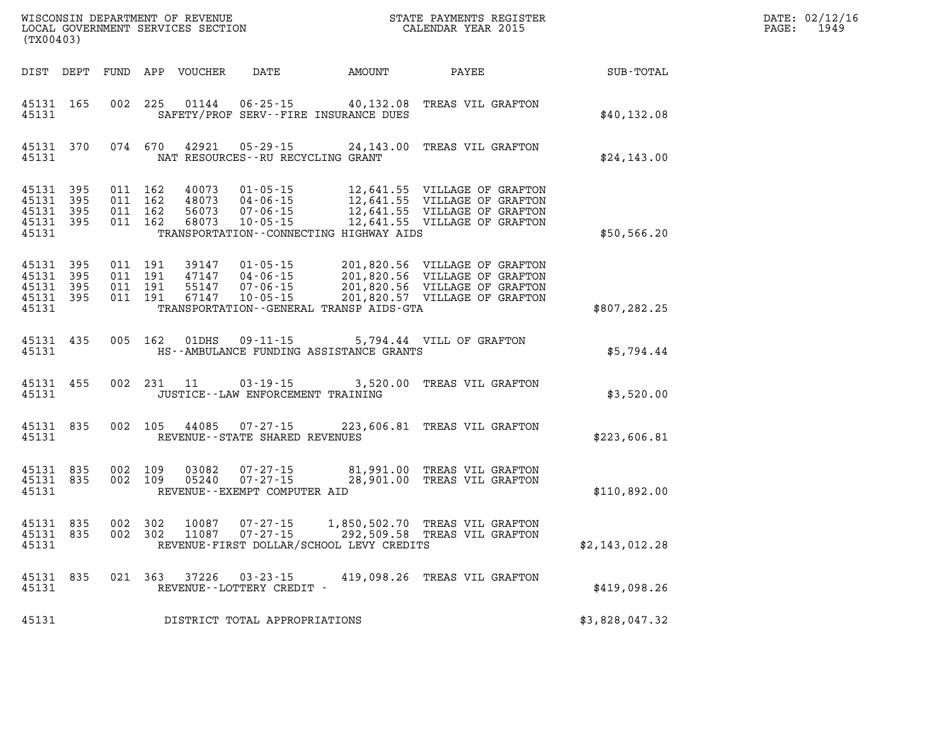| (TX00403)                        |                                  |                                          | WISCONSIN DEPARTMENT OF REVENUE<br>LOCAL GOVERNMENT SERVICES SECTION |                                                |                                                                           | STATE PAYMENTS REGISTER<br>CALENDAR YEAR 2015                                                                                                                                          |                | DATE: 02/12/16<br>PAGE: 1949 |
|----------------------------------|----------------------------------|------------------------------------------|----------------------------------------------------------------------|------------------------------------------------|---------------------------------------------------------------------------|----------------------------------------------------------------------------------------------------------------------------------------------------------------------------------------|----------------|------------------------------|
|                                  |                                  |                                          |                                                                      |                                                |                                                                           |                                                                                                                                                                                        | SUB-TOTAL      |                              |
| 45131                            | 45131 165                        |                                          |                                                                      |                                                | 002 225 01144 06-25-15 40,132.08<br>SAFETY/PROF SERV--FIRE INSURANCE DUES | TREAS VIL GRAFTON                                                                                                                                                                      | \$40,132.08    |                              |
| 45131                            | 45131 370                        |                                          |                                                                      | NAT RESOURCES--RU RECYCLING GRANT              |                                                                           | 074 670 42921 05-29-15 24,143.00 TREAS VIL GRAFTON                                                                                                                                     | \$24,143.00    |                              |
| 45131<br>45131<br>45131<br>45131 | 45131 395<br>395<br>395<br>- 395 | 011 162<br>011 162<br>011 162<br>011 162 |                                                                      |                                                | TRANSPORTATION--CONNECTING HIGHWAY AIDS                                   | 40073  01-05-15  12,641.55  VILLAGE OF GRAFTON                                                                                                                                         | \$50,566.20    |                              |
| 45131<br>45131<br>45131<br>45131 | - 395<br>395<br>395<br>45131 395 | 011 191<br>011 191<br>011 191<br>011 191 |                                                                      | 39147 01-05-15                                 | TRANSPORTATION - - GENERAL TRANSP AIDS - GTA                              | 201,820.56 VILLAGE OF GRAFTON<br>47147  04-06-15  201,820.56  VILLAGE OF GRAFTON<br>55147  07-06-15  201,820.56  VILLAGE OF GRAFTON<br>67147  10-05-15  201,820.57  VILLAGE OF GRAFTON | \$807,282.25   |                              |
| 45131                            | 45131 435                        |                                          |                                                                      | 005 162 01DHS 09-11-15                         | HS--AMBULANCE FUNDING ASSISTANCE GRANTS                                   | 5,794.44 VILL OF GRAFTON                                                                                                                                                               | \$5,794.44     |                              |
| 45131                            | 45131 455                        |                                          | 002 231 11                                                           | JUSTICE - - LAW ENFORCEMENT TRAINING           |                                                                           | 03-19-15 3,520.00 TREAS VIL GRAFTON                                                                                                                                                    | \$3,520.00     |                              |
| 45131                            | 45131 835                        |                                          |                                                                      | REVENUE--STATE SHARED REVENUES                 |                                                                           | 002 105 44085 07-27-15 223,606.81 TREAS VIL GRAFTON                                                                                                                                    | \$223,606.81   |                              |
| 45131                            | 45131 835<br>45131 835           | 002 109<br>002 109                       | 03082                                                                | 05240 07-27-15<br>REVENUE--EXEMPT COMPUTER AID |                                                                           | 07-27-15 81,991.00 TREAS VIL GRAFTON<br>28,901.00 TREAS VIL GRAFTON                                                                                                                    | \$110,892.00   |                              |
| 45131                            | 45131 835<br>45131 835           | 002 302<br>002 302                       |                                                                      |                                                | REVENUE-FIRST DOLLAR/SCHOOL LEVY CREDITS                                  | 10087  07-27-15  1,850,502.70  TREAS VIL GRAFTON<br>11087  07-27-15  292,509.58  TREAS VIL GRAFTON                                                                                     | \$2,143,012.28 |                              |
| 45131                            | 45131 835                        |                                          |                                                                      | REVENUE - - LOTTERY CREDIT -                   |                                                                           | 021 363 37226 03-23-15 419,098.26 TREAS VIL GRAFTON                                                                                                                                    | \$419.098.26   |                              |
| 45131                            |                                  |                                          |                                                                      | DISTRICT TOTAL APPROPRIATIONS                  |                                                                           |                                                                                                                                                                                        | \$3,828,047.32 |                              |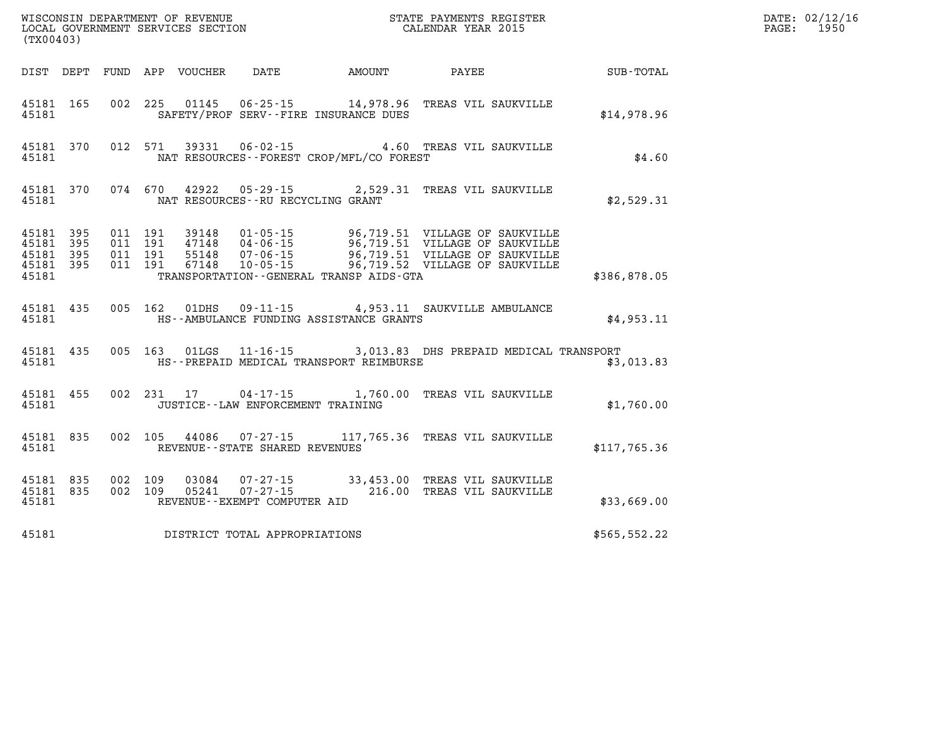| (TX00403) |  |  |                                          |                                                  | WISCONSIN DEPARTMENT OF REVENUE<br>LOCAL GOVERNMENT SERVICES SECTION<br>CALENDAR YEAR 2015                                    |              | DATE: 02/12/16<br>PAGE: 1950 |
|-----------|--|--|------------------------------------------|--------------------------------------------------|-------------------------------------------------------------------------------------------------------------------------------|--------------|------------------------------|
|           |  |  |                                          |                                                  |                                                                                                                               |              |                              |
|           |  |  |                                          | 45181 SAFETY/PROF SERV--FIRE INSURANCE DUES      | 45181 165 002 225 01145 06-25-15 14,978.96 TREAS VIL SAUKVILLE                                                                | \$14,978.96  |                              |
|           |  |  |                                          | 45181 MAT RESOURCES--FOREST CROP/MFL/CO FOREST   | 45181 370 012 571 39331 06-02-15 4.60 TREAS VIL SAUKVILLE                                                                     | \$4.60       |                              |
|           |  |  | 45181 MAT RESOURCES--RU RECYCLING GRANT  |                                                  | 45181 370 074 670 42922 05-29-15 2,529.31 TREAS VIL SAUKVILLE                                                                 | \$2,529.31   |                              |
|           |  |  |                                          | 45181 TRANSPORTATION - GENERAL TRANSP AIDS - GTA |                                                                                                                               | \$386,878.05 |                              |
|           |  |  |                                          | 45181 HS--AMBULANCE FUNDING ASSISTANCE GRANTS    | 45181 435 005 162 01DHS 09-11-15 4,953.11 SAUKVILLE AMBULANCE                                                                 | \$4,953.11   |                              |
|           |  |  |                                          |                                                  | 45181 435 005 163 01LGS 11-16-15 3,013.83 DHS PREPAID MEDICAL TRANSPORT                                                       | \$3,013.83   |                              |
|           |  |  | 45181 JUSTICE - LAW ENFORCEMENT TRAINING |                                                  | 45181 455 002 231 17 04-17-15 1,760.00 TREAS VIL SAUKVILLE                                                                    | \$1,760.00   |                              |
|           |  |  | 45181 REVENUE - STATE SHARED REVENUES    |                                                  | 45181 835 002 105 44086 07-27-15 117,765.36 TREAS VIL SAUKVILLE                                                               | \$117,765.36 |                              |
| 45181     |  |  | REVENUE--EXEMPT COMPUTER AID             |                                                  | 45181 835 002 109 03084 07-27-15 33,453.00 TREAS VIL SAUKVILLE<br>45181 835 002 109 05241 07-27-15 216.00 TREAS VIL SAUKVILLE | \$33,669.00  |                              |
| 45181     |  |  | DISTRICT TOTAL APPROPRIATIONS            |                                                  |                                                                                                                               | \$565,552.22 |                              |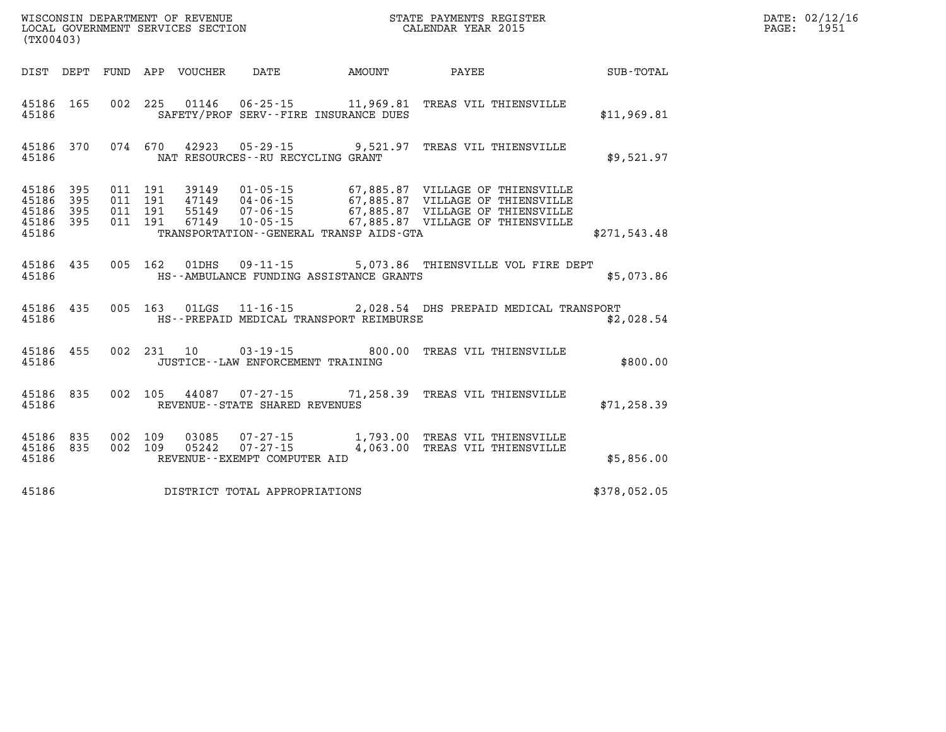| (TX00403)                                 |                          |                          |                          | WISCONSIN DEPARTMENT OF REVENUE<br>LOCAL GOVERNMENT SERVICES SECTION |                                                                       | STATE PAYMENTS REGISTER<br>CALENDAR YEAR 2015 |                                                                                                                                                                                  |              |  |
|-------------------------------------------|--------------------------|--------------------------|--------------------------|----------------------------------------------------------------------|-----------------------------------------------------------------------|-----------------------------------------------|----------------------------------------------------------------------------------------------------------------------------------------------------------------------------------|--------------|--|
| DIST                                      | DEPT                     |                          |                          | FUND APP VOUCHER                                                     | DATE                                                                  | AMOUNT                                        | PAYEE                                                                                                                                                                            | SUB-TOTAL    |  |
| 45186<br>45186                            | 165                      | 002                      | 225                      |                                                                      | 01146  06-25-15  11,969.81<br>SAFETY/PROF SERV--FIRE INSURANCE DUES   |                                               | TREAS VIL THIENSVILLE                                                                                                                                                            | \$11,969.81  |  |
| 45186<br>45186                            | 370                      |                          | 074 670                  | 42923                                                                | NAT RESOURCES - - RU RECYCLING GRANT                                  |                                               | 05-29-15 9,521.97 TREAS VIL THIENSVILLE                                                                                                                                          | \$9,521.97   |  |
| 45186<br>45186<br>45186<br>45186<br>45186 | 395<br>395<br>395<br>395 | 011<br>011<br>011<br>011 | 191<br>191<br>191<br>191 | 39149<br>47149<br>55149<br>67149                                     | $04 - 06 - 15$<br>07-06-15<br>TRANSPORTATION--GENERAL TRANSP AIDS-GTA |                                               | 01-05-15 67,885.87 VILLAGE OF THIENSVILLE<br>04-06-15 67,885.87 VILLAGE OF THIENSVILLE<br>07-06-15 67,885.87 VILLAGE OF THIENSVILLE<br>10-05-15 67,885.87 VILLAGE OF THIENSVILLE | \$271,543.48 |  |
| 45186<br>45186                            | 435                      | 005                      | 162                      | 01DHS                                                                | $09 - 11 - 15$<br>HS--AMBULANCE FUNDING ASSISTANCE GRANTS             |                                               | 5,073.86 THIENSVILLE VOL FIRE DEPT                                                                                                                                               | \$5,073.86   |  |
| 45186<br>45186                            | 435                      | 005                      | 163                      | 01LGS                                                                | HS--PREPAID MEDICAL TRANSPORT REIMBURSE                               |                                               | 11-16-15 2,028.54 DHS PREPAID MEDICAL TRANSPORT                                                                                                                                  | \$2,028.54   |  |
| 45186<br>45186                            | 455                      | 002                      | 231                      | 10                                                                   | $03 - 19 - 15$ 800.00<br>JUSTICE - - LAW ENFORCEMENT TRAINING         |                                               | TREAS VIL THIENSVILLE                                                                                                                                                            | \$800.00     |  |
| 45186<br>45186                            | 835                      | 002                      | 105                      |                                                                      | REVENUE - - STATE SHARED REVENUES                                     |                                               | 44087 07-27-15 71,258.39 TREAS VIL THIENSVILLE                                                                                                                                   | \$71, 258.39 |  |
| 45186<br>45186<br>45186                   | 835<br>835               | 002<br>002               | 109<br>109               | 03085<br>05242                                                       | $07 - 27 - 15$<br>$07 - 27 - 15$<br>REVENUE--EXEMPT COMPUTER AID      | 1,793.00<br>4,063.00                          | TREAS VIL THIENSVILLE<br>TREAS VIL THIENSVILLE                                                                                                                                   | \$5,856.00   |  |
| 45186                                     |                          |                          |                          |                                                                      | DISTRICT TOTAL APPROPRIATIONS                                         |                                               |                                                                                                                                                                                  | \$378,052.05 |  |

**DATE: 02/12/16<br>PAGE: 1951**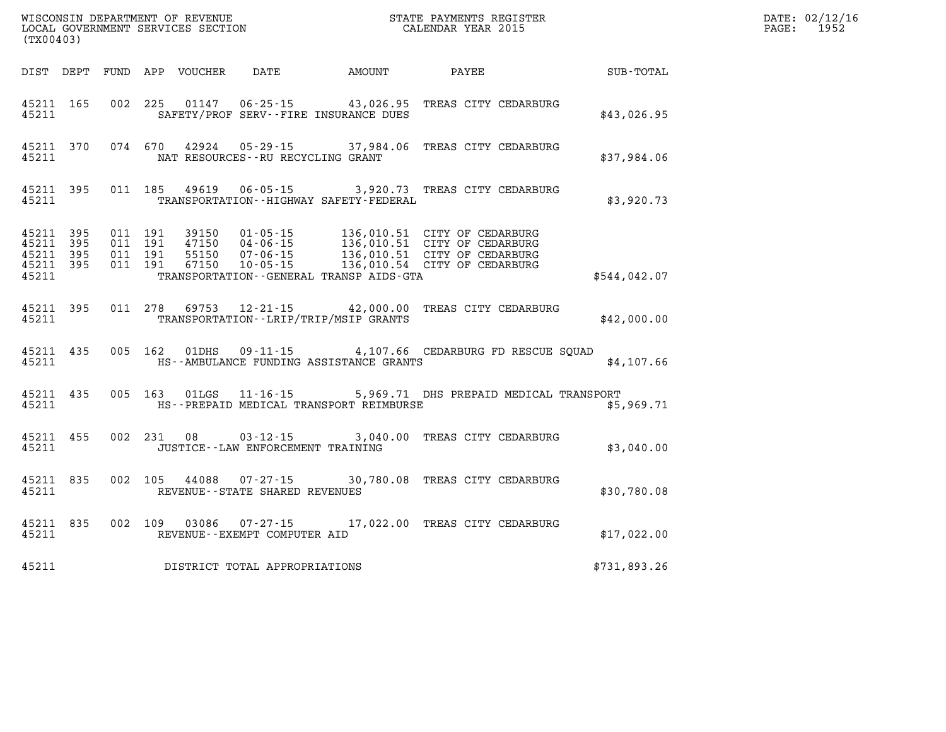| (TX00403)                                                 |           |                               |         | WISCONSIN DEPARTMENT OF REVENUE<br>LOCAL GOVERNMENT SERVICES SECTION |                                        |                                             | STATE PAYMENTS REGISTER<br>CALENDAR YEAR 2015                                                                                                                                                        |              | DATE: 02/12/16<br>1952<br>$\mathtt{PAGE:}$ |
|-----------------------------------------------------------|-----------|-------------------------------|---------|----------------------------------------------------------------------|----------------------------------------|---------------------------------------------|------------------------------------------------------------------------------------------------------------------------------------------------------------------------------------------------------|--------------|--------------------------------------------|
|                                                           |           |                               |         |                                                                      | DIST DEPT FUND APP VOUCHER DATE AMOUNT |                                             | <b>PAYEE</b>                                                                                                                                                                                         | SUB-TOTAL    |                                            |
| 45211 165<br>45211                                        |           |                               |         |                                                                      |                                        | SAFETY/PROF SERV--FIRE INSURANCE DUES       | 002 225 01147 06-25-15 43,026.95 TREAS CITY CEDARBURG                                                                                                                                                | \$43,026.95  |                                            |
| 45211                                                     |           |                               |         |                                                                      | NAT RESOURCES - - RU RECYCLING GRANT   |                                             | 45211 370 074 670 42924 05-29-15 37,984.06 TREAS CITY CEDARBURG                                                                                                                                      | \$37,984.06  |                                            |
| 45211                                                     | 45211 395 |                               |         | 011 185 49619                                                        | $06 - 05 - 15$                         | TRANSPORTATION - - HIGHWAY SAFETY - FEDERAL | 3,920.73 TREAS CITY CEDARBURG                                                                                                                                                                        | \$3,920.73   |                                            |
| 45211 395<br>45211 395<br>45211 395<br>45211 395<br>45211 |           | 011 191<br>011 191<br>011 191 | 011 191 |                                                                      |                                        | TRANSPORTATION--GENERAL TRANSP AIDS-GTA     | 39150  01-05-15  136,010.51  CITY OF CEDARBURG<br>47150  04-06-15  136,010.51  CITY OF CEDARBURG<br>55150  07-06-15  136,010.51  CITY OF CEDARBURG<br>67150  10-05-15  136,010.54  CITY OF CEDARBURG | \$544,042.07 |                                            |
| 45211                                                     | 45211 395 |                               |         |                                                                      |                                        | TRANSPORTATION--LRIP/TRIP/MSIP GRANTS       | 011 278 69753 12-21-15 42,000.00 TREAS CITY CEDARBURG                                                                                                                                                | \$42,000.00  |                                            |
| 45211                                                     | 45211 435 |                               |         | 005 162 01DHS                                                        |                                        | HS--AMBULANCE FUNDING ASSISTANCE GRANTS     | $09 - 11 - 15$ 4,107.66 CEDARBURG FD RESCUE SQUAD                                                                                                                                                    | \$4,107.66   |                                            |
| 45211                                                     | 45211 435 |                               |         |                                                                      |                                        |                                             | 005 163 01LGS 11-16-15 5,969.71 DHS PREPAID MEDICAL TRANSPORT<br>HS--PREPAID MEDICAL TRANSPORT REIMBURSE                                                                                             | \$5,969.71   |                                            |
| 45211 455<br>45211                                        |           |                               |         |                                                                      | JUSTICE--LAW ENFORCEMENT TRAINING      |                                             | 002 231 08 03-12-15 3,040.00 TREAS CITY CEDARBURG                                                                                                                                                    | \$3,040.00   |                                            |
| 45211                                                     | 45211 835 |                               |         |                                                                      | REVENUE--STATE SHARED REVENUES         |                                             | 002 105 44088 07-27-15 30,780.08 TREAS CITY CEDARBURG                                                                                                                                                | \$30,780.08  |                                            |
| 45211                                                     |           |                               |         |                                                                      | REVENUE--EXEMPT COMPUTER AID           |                                             | 45211 835 002 109 03086 07-27-15 17,022.00 TREAS CITY CEDARBURG                                                                                                                                      | \$17,022.00  |                                            |
| 45211                                                     |           |                               |         |                                                                      | DISTRICT TOTAL APPROPRIATIONS          |                                             |                                                                                                                                                                                                      | \$731,893.26 |                                            |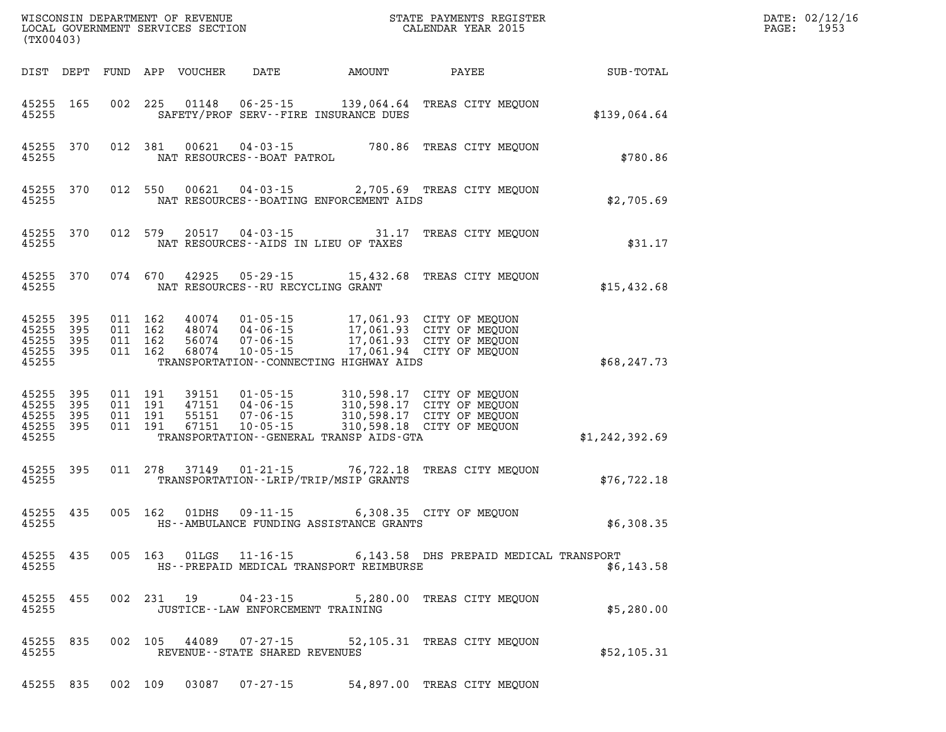| (TX00403)                                             |     |         |                                      |                                            | WISCONSIN DEPARTMENT OF REVENUE<br>LOCAL GOVERNMENT SERVICES SECTION<br>CALENDAR YEAR 2015                                                                                                                   |                | DATE: 02/12/16<br>$\mathtt{PAGE:}$<br>1953 |
|-------------------------------------------------------|-----|---------|--------------------------------------|--------------------------------------------|--------------------------------------------------------------------------------------------------------------------------------------------------------------------------------------------------------------|----------------|--------------------------------------------|
|                                                       |     |         |                                      |                                            |                                                                                                                                                                                                              |                |                                            |
| 45255 165<br>45255                                    |     |         |                                      | SAFETY/PROF SERV--FIRE INSURANCE DUES      | 002 225 01148 06-25-15 139,064.64 TREAS CITY MEQUON                                                                                                                                                          | \$139,064.64   |                                            |
| 45255 370<br>45255                                    |     | 012 381 | NAT RESOURCES--BOAT PATROL           |                                            | 00621  04-03-15  780.86 TREAS CITY MEQUON                                                                                                                                                                    | \$780.86       |                                            |
| 45255 370<br>45255                                    |     |         |                                      | NAT RESOURCES - - BOATING ENFORCEMENT AIDS | 012 550 00621 04-03-15 2,705.69 TREAS CITY MEQUON                                                                                                                                                            | \$2,705.69     |                                            |
| 45255 370<br>45255                                    |     |         |                                      | NAT RESOURCES--AIDS IN LIEU OF TAXES       | 012 579 20517 04-03-15 31.17 TREAS CITY MEQUON                                                                                                                                                               | \$31.17        |                                            |
| 45255 370<br>45255                                    |     |         | NAT RESOURCES - - RU RECYCLING GRANT |                                            | 074 670 42925 05-29-15 15,432.68 TREAS CITY MEQUON                                                                                                                                                           | \$15,432.68    |                                            |
| 45255 395<br>45255<br>45255 395<br>45255 395<br>45255 | 395 |         |                                      | TRANSPORTATION--CONNECTING HIGHWAY AIDS    | 011 162 40074 01-05-15 17,061.93 CITY OF MEQUON<br>011 162 48074 04-06-15 17,061.93 CITY OF MEQUON<br>011 162 68074 10-05-15 17,061.93 CITY OF MEQUON<br>011 162 68074 10-05-15 17,061.94 CITY OF MEQUON     | \$68,247.73    |                                            |
| 45255 395<br>45255<br>45255 395<br>45255 395<br>45255 | 395 |         |                                      | TRANSPORTATION--GENERAL TRANSP AIDS-GTA    | 011 191 39151 01-05-15 310,598.17 CITY OF MEQUON<br>011 191 47151 04-06-15 310,598.17 CITY OF MEQUON<br>011 191 55151 07-06-15 310,598.17 CITY OF MEQUON<br>011 191 67151 10-05-15 310,598.18 CITY OF MEQUON | \$1,242,392.69 |                                            |
| 45255 395<br>45255                                    |     |         |                                      | TRANSPORTATION--LRIP/TRIP/MSIP GRANTS      | 011 278 37149  01-21-15  76,722.18 TREAS CITY MEQUON                                                                                                                                                         | \$76, 722.18   |                                            |
| 45255 435<br>45255                                    |     |         |                                      | HS--AMBULANCE FUNDING ASSISTANCE GRANTS    | 005 162 01DHS 09-11-15 6,308.35 CITY OF MEQUON                                                                                                                                                               | \$6,308.35     |                                            |
| 45255 435<br>45255                                    |     |         |                                      | HS--PREPAID MEDICAL TRANSPORT REIMBURSE    | 005 163 01LGS 11-16-15 6,143.58 DHS PREPAID MEDICAL TRANSPORT                                                                                                                                                | \$6,143.58     |                                            |
| 45255 455<br>45255                                    |     |         | JUSTICE -- LAW ENFORCEMENT TRAINING  |                                            | 002 231 19 04-23-15 5,280.00 TREAS CITY MEQUON                                                                                                                                                               | \$5,280.00     |                                            |
| 45255 835<br>45255                                    |     |         | REVENUE--STATE SHARED REVENUES       |                                            | 002 105 44089 07-27-15 52,105.31 TREAS CITY MEQUON                                                                                                                                                           | \$52,105.31    |                                            |
| 45255 835                                             |     |         |                                      |                                            | 002 109 03087 07-27-15 54,897.00 TREAS CITY MEQUON                                                                                                                                                           |                |                                            |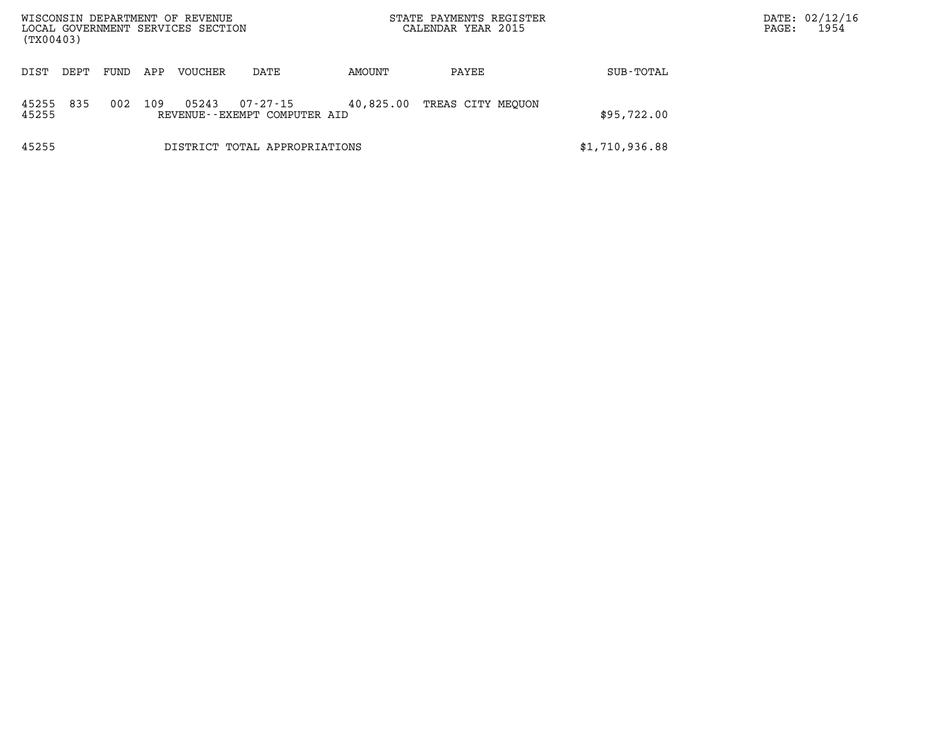| (TX00403)      |      |      |     | WISCONSIN DEPARTMENT OF REVENUE<br>LOCAL GOVERNMENT SERVICES SECTION |                                             |           | STATE PAYMENTS REGISTER<br>CALENDAR YEAR 2015 |                | DATE: 02/12/16<br>1954<br>PAGE: |
|----------------|------|------|-----|----------------------------------------------------------------------|---------------------------------------------|-----------|-----------------------------------------------|----------------|---------------------------------|
| DIST           | DEPT | FUND | APP | <b>VOUCHER</b>                                                       | DATE                                        | AMOUNT    | PAYEE                                         | SUB-TOTAL      |                                 |
| 45255<br>45255 | 835  | 002  | 109 | 05243                                                                | 07-27-15<br>REVENUE - - EXEMPT COMPUTER AID | 40,825.00 | TREAS CITY MEOUON                             | \$95,722.00    |                                 |
| 45255          |      |      |     |                                                                      | DISTRICT TOTAL APPROPRIATIONS               |           |                                               | \$1,710,936.88 |                                 |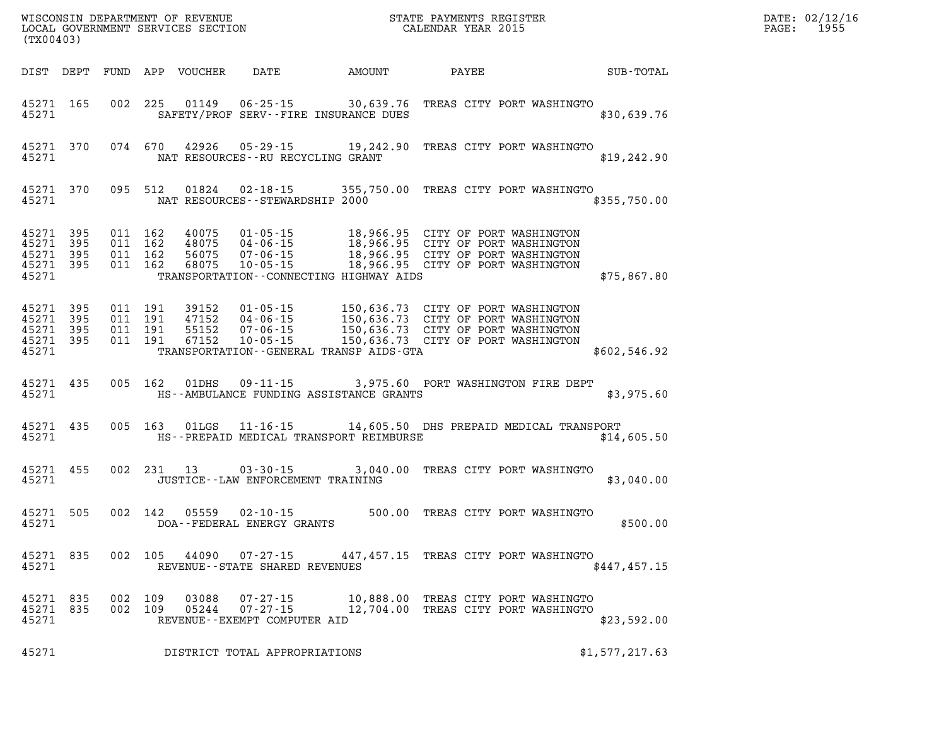| DATE: | 02/12/16 |
|-------|----------|
| PAGE: | 1955     |

| (TX00403)                                             |                |                                          | LOCAL GOVERNMENT SERVICES SECTION |                                                                                                                                                                                                                                          | CALENDAR YEAR 2015 |                                                                            |              | PAGE: | 1955 |
|-------------------------------------------------------|----------------|------------------------------------------|-----------------------------------|------------------------------------------------------------------------------------------------------------------------------------------------------------------------------------------------------------------------------------------|--------------------|----------------------------------------------------------------------------|--------------|-------|------|
|                                                       |                |                                          | DIST DEPT FUND APP VOUCHER        | DATE AMOUNT                                                                                                                                                                                                                              | PAYEE              |                                                                            | SUB-TOTAL    |       |      |
| 45271 165<br>45271                                    |                | 002 225                                  | 01149                             | $06 - 25 - 15$<br>SAFETY/PROF SERV--FIRE INSURANCE DUES                                                                                                                                                                                  |                    | 30,639.76 TREAS CITY PORT WASHINGTO                                        | \$30,639.76  |       |      |
| 45271                                                 | 45271 370      |                                          |                                   | 074 670 42926 05-29-15 19,242.90 TREAS CITY PORT WASHINGTO<br>NAT RESOURCES--RU RECYCLING GRANT                                                                                                                                          |                    |                                                                            | \$19, 242.90 |       |      |
| 45271 370<br>45271                                    |                | 095 512                                  | 01824                             | 02-18-15<br>NAT RESOURCES - - STEWARDSHIP 2000                                                                                                                                                                                           |                    | 355,750.00 TREAS CITY PORT WASHINGTO                                       | \$355,750.00 |       |      |
| 45271 395<br>45271<br>45271 395<br>45271 395<br>45271 | - 395          | 011 162<br>011 162<br>011 162<br>011 162 | 40075<br>48075<br>56075<br>68075  | 01-05-15 18,966.95 CITY OF PORT WASHINGTON<br>04-06-15 18,966.95 CITY OF PORT WASHINGTON<br>07-06-15 18,966.95 CITY OF PORT WASHINGTON<br>10-05-15 18,966.95 CITY OF PORT WASHINGTON<br>TRANSPORTATION -- CONNECTING HIGHWAY AIDS        |                    |                                                                            | \$75,867.80  |       |      |
| 45271 395<br>45271<br>45271<br>45271 395<br>45271     | - 395<br>- 395 | 011 191<br>011 191<br>011 191<br>011 191 | 39152<br>47152<br>55152<br>67152  | 01-05-15 150,636.73 CITY OF PORT WASHINGTON<br>04-06-15 150,636.73 CITY OF PORT WASHINGTON<br>07-06-15 150,636.73 CITY OF PORT WASHINGTON<br>10-05-15 150,636.73 CITY OF PORT WASHINGTON<br>TRANSPORTATION - - GENERAL TRANSP AIDS - GTA |                    |                                                                            | \$602,546.92 |       |      |
| 45271 435<br>45271                                    |                | 005 162                                  | 01DHS                             | $09 - 11 - 15$<br>HS--AMBULANCE FUNDING ASSISTANCE GRANTS                                                                                                                                                                                |                    | 3,975.60 PORT WASHINGTON FIRE DEPT                                         | \$3,975.60   |       |      |
| 45271 435<br>45271                                    |                | 005 163                                  | 01LGS                             | 11-16-15 14,605.50 DHS PREPAID MEDICAL TRANSPORT<br>HS--PREPAID MEDICAL TRANSPORT REIMBURSE                                                                                                                                              |                    |                                                                            | \$14,605.50  |       |      |
| 45271 455<br>45271                                    |                |                                          | 002 231 13                        | 03-30-15<br>JUSTICE - - LAW ENFORCEMENT TRAINING                                                                                                                                                                                         |                    | 3,040.00 TREAS CITY PORT WASHINGTO                                         | \$3,040.00   |       |      |
| 45271 505<br>45271                                    |                | 002 142                                  | 05559                             | 02-10-15<br>DOA--FEDERAL ENERGY GRANTS                                                                                                                                                                                                   |                    | 500.00 TREAS CITY PORT WASHINGTO                                           | \$500.00     |       |      |
| 45271 835<br>45271                                    |                | 002 105                                  | 44090                             | 07-27-15 447,457.15 TREAS CITY PORT WASHINGTO<br>REVENUE - - STATE SHARED REVENUES                                                                                                                                                       |                    |                                                                            | \$447,457.15 |       |      |
| 45271 835<br>45271 835<br>45271                       |                | 002 109<br>002 109                       | 03088<br>05244                    | $07 - 27 - 15$<br>$07 - 27 - 15$<br>REVENUE--EXEMPT COMPUTER AID                                                                                                                                                                         |                    | 10,888.00 TREAS CITY PORT WASHINGTO<br>12,704.00 TREAS CITY PORT WASHINGTO | \$23,592.00  |       |      |

WISCONSIN DEPARTMENT OF REVENUE **STATE PAYMENTS REGISTER** 

**45271 DISTRICT TOTAL APPROPRIATIONS \$1,577,217.63**